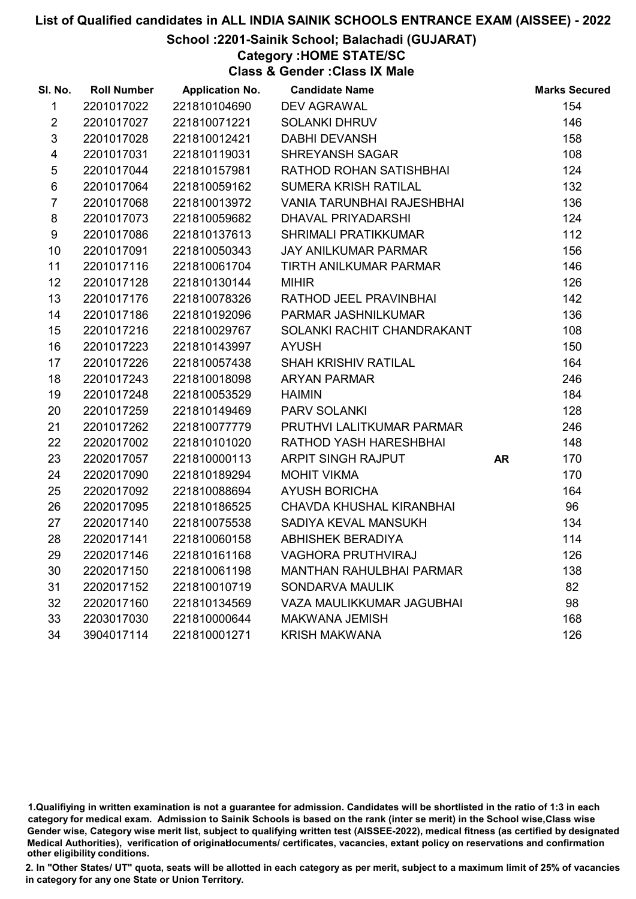## School :2201-Sainik School; Balachadi (GUJARAT)

## Category :HOME STATE/SC

Class & Gender :Class IX Male

| SI. No.                 | <b>Roll Number</b> | <b>Application No.</b> | <b>Candidate Name</b>             |           | <b>Marks Secured</b> |
|-------------------------|--------------------|------------------------|-----------------------------------|-----------|----------------------|
| $\mathbf{1}$            | 2201017022         | 221810104690           | <b>DEV AGRAWAL</b>                |           | 154                  |
| $\overline{2}$          | 2201017027         | 221810071221           | <b>SOLANKI DHRUV</b>              |           | 146                  |
| $\mathfrak{S}$          | 2201017028         | 221810012421           | <b>DABHI DEVANSH</b>              |           | 158                  |
| $\overline{\mathbf{4}}$ | 2201017031         | 221810119031           | <b>SHREYANSH SAGAR</b>            |           | 108                  |
| $\sqrt{5}$              | 2201017044         | 221810157981           | RATHOD ROHAN SATISHBHAI           |           | 124                  |
| $\,6$                   | 2201017064         | 221810059162           | <b>SUMERA KRISH RATILAL</b>       |           | 132                  |
| $\overline{7}$          | 2201017068         | 221810013972           | <b>VANIA TARUNBHAI RAJESHBHAI</b> |           | 136                  |
| 8                       | 2201017073         | 221810059682           | DHAVAL PRIYADARSHI                |           | 124                  |
| 9                       | 2201017086         | 221810137613           | <b>SHRIMALI PRATIKKUMAR</b>       |           | 112                  |
| 10                      | 2201017091         | 221810050343           | <b>JAY ANILKUMAR PARMAR</b>       |           | 156                  |
| 11                      | 2201017116         | 221810061704           | TIRTH ANILKUMAR PARMAR            |           | 146                  |
| 12 <sup>2</sup>         | 2201017128         | 221810130144           | <b>MIHIR</b>                      |           | 126                  |
| 13                      | 2201017176         | 221810078326           | RATHOD JEEL PRAVINBHAI            |           | 142                  |
| 14                      | 2201017186         | 221810192096           | PARMAR JASHNILKUMAR               |           | 136                  |
| 15                      | 2201017216         | 221810029767           | SOLANKI RACHIT CHANDRAKANT        |           | 108                  |
| 16                      | 2201017223         | 221810143997           | <b>AYUSH</b>                      |           | 150                  |
| 17                      | 2201017226         | 221810057438           | <b>SHAH KRISHIV RATILAL</b>       |           | 164                  |
| 18                      | 2201017243         | 221810018098           | <b>ARYAN PARMAR</b>               |           | 246                  |
| 19                      | 2201017248         | 221810053529           | <b>HAIMIN</b>                     |           | 184                  |
| 20                      | 2201017259         | 221810149469           | <b>PARV SOLANKI</b>               |           | 128                  |
| 21                      | 2201017262         | 221810077779           | PRUTHVI LALITKUMAR PARMAR         |           | 246                  |
| 22                      | 2202017002         | 221810101020           | RATHOD YASH HARESHBHAI            |           | 148                  |
| 23                      | 2202017057         | 221810000113           | ARPIT SINGH RAJPUT                | <b>AR</b> | 170                  |
| 24                      | 2202017090         | 221810189294           | <b>MOHIT VIKMA</b>                |           | 170                  |
| 25                      | 2202017092         | 221810088694           | <b>AYUSH BORICHA</b>              |           | 164                  |
| 26                      | 2202017095         | 221810186525           | <b>CHAVDA KHUSHAL KIRANBHAI</b>   |           | 96                   |
| 27                      | 2202017140         | 221810075538           | SADIYA KEVAL MANSUKH              |           | 134                  |
| 28                      | 2202017141         | 221810060158           | <b>ABHISHEK BERADIYA</b>          |           | 114                  |
| 29                      | 2202017146         | 221810161168           | <b>VAGHORA PRUTHVIRAJ</b>         |           | 126                  |
| 30                      | 2202017150         | 221810061198           | <b>MANTHAN RAHULBHAI PARMAR</b>   |           | 138                  |
| 31                      | 2202017152         | 221810010719           | <b>SONDARVA MAULIK</b>            |           | 82                   |
| 32                      | 2202017160         | 221810134569           | <b>VAZA MAULIKKUMAR JAGUBHAI</b>  |           | 98                   |
| 33                      | 2203017030         | 221810000644           | <b>MAKWANA JEMISH</b>             |           | 168                  |
| 34                      | 3904017114         | 221810001271           | <b>KRISH MAKWANA</b>              |           | 126                  |

<sup>1.</sup>Qualifiying in written examination is not a guarantee for admission. Candidates will be shortlisted in the ratio of 1:3 in each category for medical exam. Admission to Sainik Schools is based on the rank (inter se merit) in the School wise,Class wise Gender wise, Category wise merit list, subject to qualifying written test (AISSEE-2022), medical fitness (as certified by designated Medical Authorities), verification of originablocuments/ certificates, vacancies, extant policy on reservations and confirmation other eligibility conditions.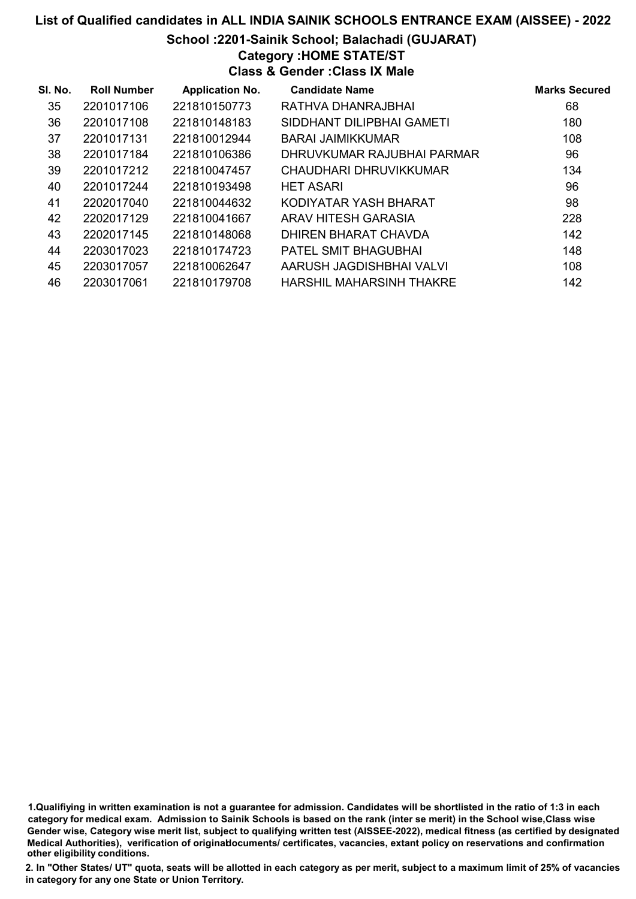### School :2201-Sainik School; Balachadi (GUJARAT)

## Category :HOME STATE/ST

Class & Gender :Class IX Male

| SI. No. | <b>Roll Number</b> | <b>Application No.</b> | <b>Candidate Name</b>       | <b>Marks Secured</b> |
|---------|--------------------|------------------------|-----------------------------|----------------------|
| 35      | 2201017106         | 221810150773           | RATHVA DHANRAJBHAI          | 68                   |
| 36      | 2201017108         | 221810148183           | SIDDHANT DILIPBHAI GAMETI   | 180                  |
| 37      | 2201017131         | 221810012944           | <b>BARAI JAIMIKKUMAR</b>    | 108                  |
| 38      | 2201017184         | 221810106386           | DHRUVKUMAR RAJUBHAI PARMAR  | 96                   |
| 39      | 2201017212         | 221810047457           | CHAUDHARI DHRUVIKKUMAR      | 134                  |
| 40      | 2201017244         | 221810193498           | <b>HET ASARI</b>            | 96                   |
| 41      | 2202017040         | 221810044632           | KODIYATAR YASH BHARAT       | 98                   |
| 42      | 2202017129         | 221810041667           | <b>ARAV HITESH GARASIA</b>  | 228                  |
| 43      | 2202017145         | 221810148068           | <b>DHIREN BHARAT CHAVDA</b> | 142                  |
| 44      | 2203017023         | 221810174723           | <b>PATEL SMIT BHAGUBHAI</b> | 148                  |
| 45      | 2203017057         | 221810062647           | AARUSH JAGDISHBHAI VALVI    | 108                  |
| 46      | 2203017061         | 221810179708           | HARSHIL MAHARSINH THAKRE    | 142                  |

1.Qualifiying in written examination is not a guarantee for admission. Candidates will be shortlisted in the ratio of 1:3 in each category for medical exam. Admission to Sainik Schools is based on the rank (inter se merit) in the School wise,Class wise Gender wise, Category wise merit list, subject to qualifying written test (AISSEE-2022), medical fitness (as certified by designated Medical Authorities), verification of originablocuments/ certificates, vacancies, extant policy on reservations and confirmation other eligibility conditions.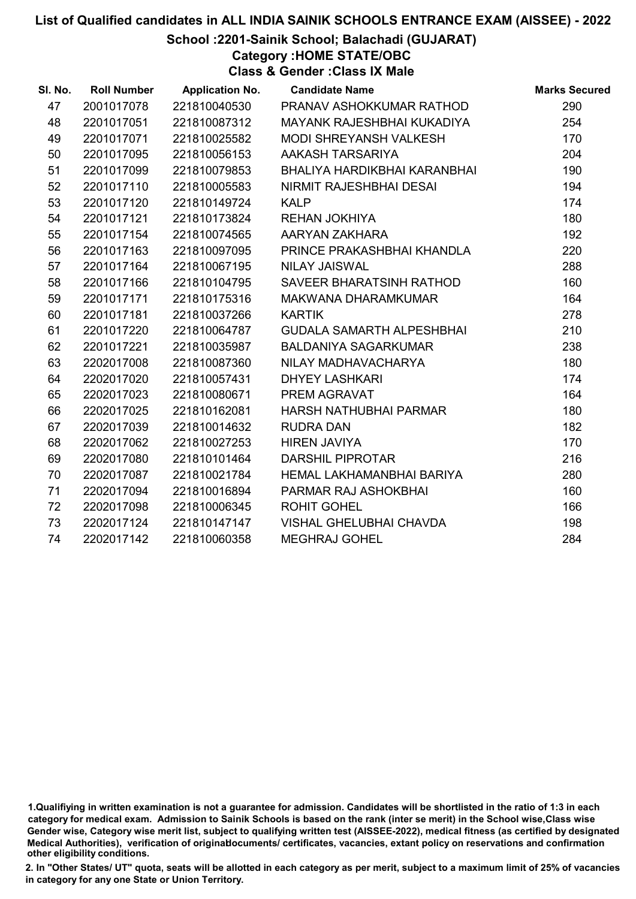School :2201-Sainik School; Balachadi (GUJARAT)

Category :HOME STATE/OBC

Class & Gender :Class IX Male

| SI. No. | <b>Roll Number</b> | <b>Application No.</b> | <b>Candidate Name</b>            | <b>Marks Secured</b> |
|---------|--------------------|------------------------|----------------------------------|----------------------|
| 47      | 2001017078         | 221810040530           | PRANAV ASHOKKUMAR RATHOD         | 290                  |
| 48      | 2201017051         | 221810087312           | MAYANK RAJESHBHAI KUKADIYA       | 254                  |
| 49      | 2201017071         | 221810025582           | <b>MODI SHREYANSH VALKESH</b>    | 170                  |
| 50      | 2201017095         | 221810056153           | AAKASH TARSARIYA                 | 204                  |
| 51      | 2201017099         | 221810079853           | BHALIYA HARDIKBHAI KARANBHAI     | 190                  |
| 52      | 2201017110         | 221810005583           | NIRMIT RAJESHBHAI DESAI          | 194                  |
| 53      | 2201017120         | 221810149724           | <b>KALP</b>                      | 174                  |
| 54      | 2201017121         | 221810173824           | <b>REHAN JOKHIYA</b>             | 180                  |
| 55      | 2201017154         | 221810074565           | AARYAN ZAKHARA                   | 192                  |
| 56      | 2201017163         | 221810097095           | PRINCE PRAKASHBHAI KHANDLA       | 220                  |
| 57      | 2201017164         | 221810067195           | <b>NILAY JAISWAL</b>             | 288                  |
| 58      | 2201017166         | 221810104795           | SAVEER BHARATSINH RATHOD         | 160                  |
| 59      | 2201017171         | 221810175316           | MAKWANA DHARAMKUMAR              | 164                  |
| 60      | 2201017181         | 221810037266           | <b>KARTIK</b>                    | 278                  |
| 61      | 2201017220         | 221810064787           | <b>GUDALA SAMARTH ALPESHBHAI</b> | 210                  |
| 62      | 2201017221         | 221810035987           | <b>BALDANIYA SAGARKUMAR</b>      | 238                  |
| 63      | 2202017008         | 221810087360           | NILAY MADHAVACHARYA              | 180                  |
| 64      | 2202017020         | 221810057431           | <b>DHYEY LASHKARI</b>            | 174                  |
| 65      | 2202017023         | 221810080671           | PREM AGRAVAT                     | 164                  |
| 66      | 2202017025         | 221810162081           | HARSH NATHUBHAI PARMAR           | 180                  |
| 67      | 2202017039         | 221810014632           | <b>RUDRA DAN</b>                 | 182                  |
| 68      | 2202017062         | 221810027253           | <b>HIREN JAVIYA</b>              | 170                  |
| 69      | 2202017080         | 221810101464           | <b>DARSHIL PIPROTAR</b>          | 216                  |
| 70      | 2202017087         | 221810021784           | HEMAL LAKHAMANBHAI BARIYA        | 280                  |
| 71      | 2202017094         | 221810016894           | PARMAR RAJ ASHOKBHAI             | 160                  |
| 72      | 2202017098         | 221810006345           | <b>ROHIT GOHEL</b>               | 166                  |
| 73      | 2202017124         | 221810147147           | <b>VISHAL GHELUBHAI CHAVDA</b>   | 198                  |
| 74      | 2202017142         | 221810060358           | <b>MEGHRAJ GOHEL</b>             | 284                  |

<sup>1.</sup>Qualifiying in written examination is not a guarantee for admission. Candidates will be shortlisted in the ratio of 1:3 in each category for medical exam. Admission to Sainik Schools is based on the rank (inter se merit) in the School wise,Class wise Gender wise, Category wise merit list, subject to qualifying written test (AISSEE-2022), medical fitness (as certified by designated Medical Authorities), verification of originablocuments/ certificates, vacancies, extant policy on reservations and confirmation other eligibility conditions.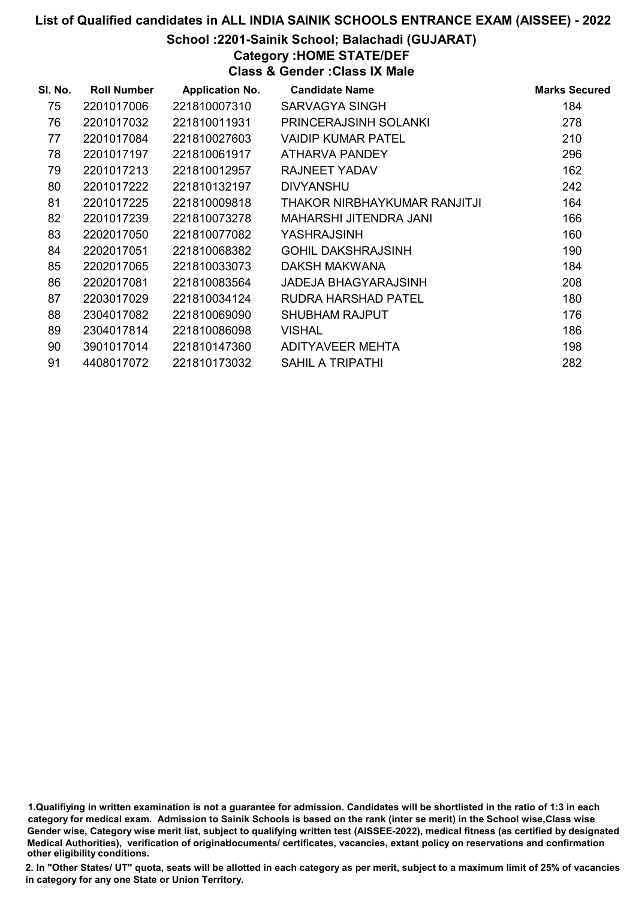#### School :2201-Sainik School; Balachadi (GUJARAT)

Category :HOME STATE/DEF

Class & Gender :Class IX Male

| SI. No. | <b>Roll Number</b> | <b>Application No.</b> | <b>Candidate Name</b>         | <b>Marks Secured</b> |
|---------|--------------------|------------------------|-------------------------------|----------------------|
| 75      | 2201017006         | 221810007310           | SARVAGYA SINGH                | 184                  |
| 76      | 2201017032         | 221810011931           | <b>PRINCERAJSINH SOLANKI</b>  | 278                  |
| 77      | 2201017084         | 221810027603           | VAIDIP KUMAR PATEL            | 210                  |
| 78      | 2201017197         | 221810061917           | ATHARVA PANDEY                | 296                  |
| 79      | 2201017213         | 221810012957           | RAJNEET YADAV                 | 162                  |
| 80      | 2201017222         | 221810132197           | <b>DIVYANSHU</b>              | 242                  |
| 81      | 2201017225         | 221810009818           | THAKOR NIRBHAYKUMAR RANJITJI  | 164                  |
| 82      | 2201017239         | 221810073278           | <b>MAHARSHI JITENDRA JANI</b> | 166                  |
| 83      | 2202017050         | 221810077082           | YASHRAJSINH                   | 160                  |
| 84      | 2202017051         | 221810068382           | <b>GOHIL DAKSHRAJSINH</b>     | 190                  |
| 85      | 2202017065         | 221810033073           | DAKSH MAKWANA                 | 184                  |
| 86      | 2202017081         | 221810083564           | <b>JADEJA BHAGYARAJSINH</b>   | 208                  |
| 87      | 2203017029         | 221810034124           | RUDRA HARSHAD PATEL           | 180                  |
| 88      | 2304017082         | 221810069090           | <b>SHUBHAM RAJPUT</b>         | 176                  |
| 89      | 2304017814         | 221810086098           | <b>VISHAL</b>                 | 186                  |
| 90      | 3901017014         | 221810147360           | <b>ADITYAVEER MEHTA</b>       | 198                  |
| 91      | 4408017072         | 221810173032           | <b>SAHIL A TRIPATHI</b>       | 282                  |

<sup>1.</sup>Qualifiying in written examination is not a guarantee for admission. Candidates will be shortlisted in the ratio of 1:3 in each category for medical exam. Admission to Sainik Schools is based on the rank (inter se merit) in the School wise,Class wise Gender wise, Category wise merit list, subject to qualifying written test (AISSEE-2022), medical fitness (as certified by designated Medical Authorities), verification of originablocuments/ certificates, vacancies, extant policy on reservations and confirmation other eligibility conditions.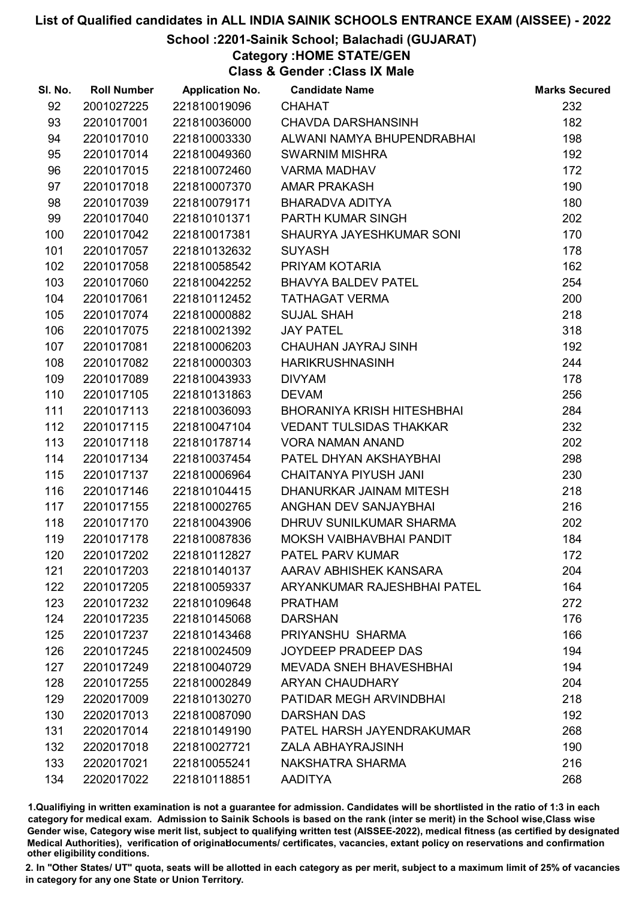## School :2201-Sainik School; Balachadi (GUJARAT)

Category :HOME STATE/GEN

Class & Gender :Class IX Male

| SI. No. | <b>Roll Number</b> | <b>Application No.</b> | <b>Candidate Name</b>          | <b>Marks Secured</b> |
|---------|--------------------|------------------------|--------------------------------|----------------------|
| 92      | 2001027225         | 221810019096           | <b>CHAHAT</b>                  | 232                  |
| 93      | 2201017001         | 221810036000           | <b>CHAVDA DARSHANSINH</b>      | 182                  |
| 94      | 2201017010         | 221810003330           | ALWANI NAMYA BHUPENDRABHAI     | 198                  |
| 95      | 2201017014         | 221810049360           | <b>SWARNIM MISHRA</b>          | 192                  |
| 96      | 2201017015         | 221810072460           | <b>VARMA MADHAV</b>            | 172                  |
| 97      | 2201017018         | 221810007370           | <b>AMAR PRAKASH</b>            | 190                  |
| 98      | 2201017039         | 221810079171           | BHARADVA ADITYA                | 180                  |
| 99      | 2201017040         | 221810101371           | PARTH KUMAR SINGH              | 202                  |
| 100     | 2201017042         | 221810017381           | SHAURYA JAYESHKUMAR SONI       | 170                  |
| 101     | 2201017057         | 221810132632           | <b>SUYASH</b>                  | 178                  |
| 102     | 2201017058         | 221810058542           | PRIYAM KOTARIA                 | 162                  |
| 103     | 2201017060         | 221810042252           | <b>BHAVYA BALDEV PATEL</b>     | 254                  |
| 104     | 2201017061         | 221810112452           | <b>TATHAGAT VERMA</b>          | 200                  |
| 105     | 2201017074         | 221810000882           | <b>SUJAL SHAH</b>              | 218                  |
| 106     | 2201017075         | 221810021392           | <b>JAY PATEL</b>               | 318                  |
| 107     | 2201017081         | 221810006203           | CHAUHAN JAYRAJ SINH            | 192                  |
| 108     | 2201017082         | 221810000303           | <b>HARIKRUSHNASINH</b>         | 244                  |
| 109     | 2201017089         | 221810043933           | <b>DIVYAM</b>                  | 178                  |
| 110     | 2201017105         | 221810131863           | <b>DEVAM</b>                   | 256                  |
| 111     | 2201017113         | 221810036093           | BHORANIYA KRISH HITESHBHAI     | 284                  |
| 112     | 2201017115         | 221810047104           | <b>VEDANT TULSIDAS THAKKAR</b> | 232                  |
| 113     | 2201017118         | 221810178714           | <b>VORA NAMAN ANAND</b>        | 202                  |
| 114     | 2201017134         | 221810037454           | PATEL DHYAN AKSHAYBHAI         | 298                  |
| 115     | 2201017137         | 221810006964           | CHAITANYA PIYUSH JANI          | 230                  |
| 116     | 2201017146         | 221810104415           | DHANURKAR JAINAM MITESH        | 218                  |
| 117     | 2201017155         | 221810002765           | ANGHAN DEV SANJAYBHAI          | 216                  |
| 118     | 2201017170         | 221810043906           | DHRUV SUNILKUMAR SHARMA        | 202                  |
| 119     | 2201017178         | 221810087836           | MOKSH VAIBHAVBHAI PANDIT       | 184                  |
| 120     | 2201017202         | 221810112827           | <b>PATEL PARV KUMAR</b>        | 172                  |
| 121     | 2201017203         | 221810140137           | AARAV ABHISHEK KANSARA         | 204                  |
| 122     | 2201017205         | 221810059337           | ARYANKUMAR RAJESHBHAI PATEL    | 164                  |
| 123     | 2201017232         | 221810109648           | <b>PRATHAM</b>                 | 272                  |
| 124     | 2201017235         | 221810145068           | <b>DARSHAN</b>                 | 176                  |
| 125     | 2201017237         | 221810143468           | PRIYANSHU SHARMA               | 166                  |
| 126     | 2201017245         | 221810024509           | <b>JOYDEEP PRADEEP DAS</b>     | 194                  |
| 127     | 2201017249         | 221810040729           | <b>MEVADA SNEH BHAVESHBHAI</b> | 194                  |
| 128     | 2201017255         | 221810002849           | <b>ARYAN CHAUDHARY</b>         | 204                  |
| 129     | 2202017009         | 221810130270           | PATIDAR MEGH ARVINDBHAI        | 218                  |
| 130     | 2202017013         | 221810087090           | <b>DARSHAN DAS</b>             | 192                  |
| 131     | 2202017014         | 221810149190           | PATEL HARSH JAYENDRAKUMAR      | 268                  |
| 132     | 2202017018         | 221810027721           | ZALA ABHAYRAJSINH              | 190                  |
| 133     | 2202017021         | 221810055241           | NAKSHATRA SHARMA               | 216                  |
| 134     | 2202017022         | 221810118851           | <b>AADITYA</b>                 | 268                  |

1.Qualifiying in written examination is not a guarantee for admission. Candidates will be shortlisted in the ratio of 1:3 in each category for medical exam. Admission to Sainik Schools is based on the rank (inter se merit) in the School wise,Class wise Gender wise, Category wise merit list, subject to qualifying written test (AISSEE-2022), medical fitness (as certified by designated Medical Authorities), verification of originablocuments/ certificates, vacancies, extant policy on reservations and confirmation other eligibility conditions.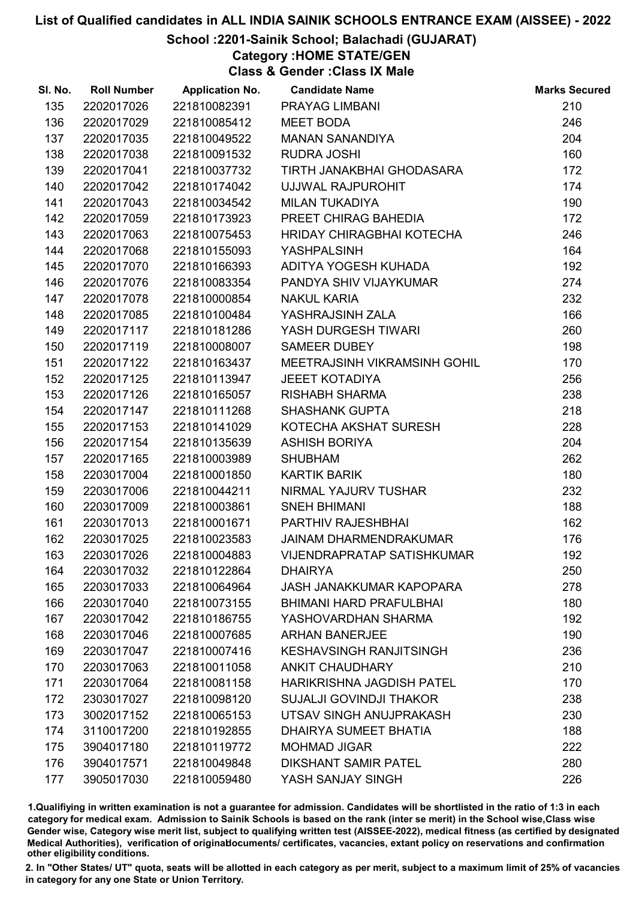## School :2201-Sainik School; Balachadi (GUJARAT)

Category :HOME STATE/GEN

Class & Gender :Class IX Male

| SI. No. | <b>Roll Number</b> | <b>Application No.</b> | <b>Candidate Name</b>             | <b>Marks Secured</b> |
|---------|--------------------|------------------------|-----------------------------------|----------------------|
| 135     | 2202017026         | 221810082391           | <b>PRAYAG LIMBANI</b>             | 210                  |
| 136     | 2202017029         | 221810085412           | <b>MEET BODA</b>                  | 246                  |
| 137     | 2202017035         | 221810049522           | <b>MANAN SANANDIYA</b>            | 204                  |
| 138     | 2202017038         | 221810091532           | <b>RUDRA JOSHI</b>                | 160                  |
| 139     | 2202017041         | 221810037732           | TIRTH JANAKBHAI GHODASARA         | 172                  |
| 140     | 2202017042         | 221810174042           | UJJWAL RAJPUROHIT                 | 174                  |
| 141     | 2202017043         | 221810034542           | <b>MILAN TUKADIYA</b>             | 190                  |
| 142     | 2202017059         | 221810173923           | PREET CHIRAG BAHEDIA              | 172                  |
| 143     | 2202017063         | 221810075453           | HRIDAY CHIRAGBHAI KOTECHA         | 246                  |
| 144     | 2202017068         | 221810155093           | <b>YASHPALSINH</b>                | 164                  |
| 145     | 2202017070         | 221810166393           | ADITYA YOGESH KUHADA              | 192                  |
| 146     | 2202017076         | 221810083354           | PANDYA SHIV VIJAYKUMAR            | 274                  |
| 147     | 2202017078         | 221810000854           | <b>NAKUL KARIA</b>                | 232                  |
| 148     | 2202017085         | 221810100484           | YASHRAJSINH ZALA                  | 166                  |
| 149     | 2202017117         | 221810181286           | YASH DURGESH TIWARI               | 260                  |
| 150     | 2202017119         | 221810008007           | <b>SAMEER DUBEY</b>               | 198                  |
| 151     | 2202017122         | 221810163437           | MEETRAJSINH VIKRAMSINH GOHIL      | 170                  |
| 152     | 2202017125         | 221810113947           | <b>JEEET KOTADIYA</b>             | 256                  |
| 153     | 2202017126         | 221810165057           | <b>RISHABH SHARMA</b>             | 238                  |
| 154     | 2202017147         | 221810111268           | <b>SHASHANK GUPTA</b>             | 218                  |
| 155     | 2202017153         | 221810141029           | KOTECHA AKSHAT SURESH             | 228                  |
| 156     | 2202017154         | 221810135639           | <b>ASHISH BORIYA</b>              | 204                  |
| 157     | 2202017165         | 221810003989           | <b>SHUBHAM</b>                    | 262                  |
| 158     | 2203017004         | 221810001850           | <b>KARTIK BARIK</b>               | 180                  |
| 159     | 2203017006         | 221810044211           | NIRMAL YAJURV TUSHAR              | 232                  |
| 160     | 2203017009         | 221810003861           | <b>SNEH BHIMANI</b>               | 188                  |
| 161     | 2203017013         | 221810001671           | <b>PARTHIV RAJESHBHAI</b>         | 162                  |
| 162     | 2203017025         | 221810023583           | <b>JAINAM DHARMENDRAKUMAR</b>     | 176                  |
| 163     | 2203017026         | 221810004883           | <b>VIJENDRAPRATAP SATISHKUMAR</b> | 192                  |
| 164     | 2203017032         | 221810122864           | <b>DHAIRYA</b>                    | 250                  |
| 165     | 2203017033         | 221810064964           | <b>JASH JANAKKUMAR KAPOPARA</b>   | 278                  |
| 166     | 2203017040         | 221810073155           | <b>BHIMANI HARD PRAFULBHAI</b>    | 180                  |
| 167     | 2203017042         | 221810186755           | YASHOVARDHAN SHARMA               | 192                  |
| 168     | 2203017046         | 221810007685           | <b>ARHAN BANERJEE</b>             | 190                  |
| 169     | 2203017047         | 221810007416           | <b>KESHAVSINGH RANJITSINGH</b>    | 236                  |
| 170     | 2203017063         | 221810011058           | <b>ANKIT CHAUDHARY</b>            | 210                  |
| 171     | 2203017064         | 221810081158           | <b>HARIKRISHNA JAGDISH PATEL</b>  | 170                  |
| 172     | 2303017027         | 221810098120           | <b>SUJALJI GOVINDJI THAKOR</b>    | 238                  |
| 173     | 3002017152         | 221810065153           | UTSAV SINGH ANUJPRAKASH           | 230                  |
| 174     | 3110017200         | 221810192855           | DHAIRYA SUMEET BHATIA             | 188                  |
| 175     | 3904017180         | 221810119772           | <b>MOHMAD JIGAR</b>               | 222                  |
| 176     | 3904017571         | 221810049848           | <b>DIKSHANT SAMIR PATEL</b>       | 280                  |
| 177     | 3905017030         | 221810059480           | YASH SANJAY SINGH                 | 226                  |

1.Qualifiying in written examination is not a guarantee for admission. Candidates will be shortlisted in the ratio of 1:3 in each category for medical exam. Admission to Sainik Schools is based on the rank (inter se merit) in the School wise,Class wise Gender wise, Category wise merit list, subject to qualifying written test (AISSEE-2022), medical fitness (as certified by designated Medical Authorities), verification of originablocuments/ certificates, vacancies, extant policy on reservations and confirmation other eligibility conditions.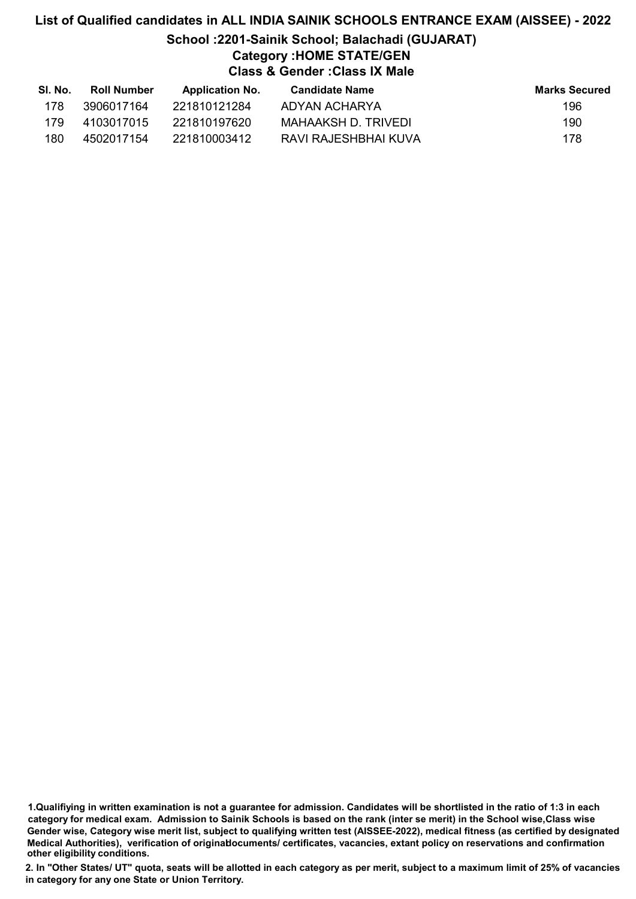## List of Qualified candidates in ALL INDIA SAINIK SCHOOLS ENTRANCE EXAM (AISSEE) - 2022 School :2201-Sainik School; Balachadi (GUJARAT) Category :HOME STATE/GEN Class & Gender :Class IX Male

| SI. No. | Roll Number | <b>Application No.</b> | Candidate Name       | <b>Marks Secured</b> |
|---------|-------------|------------------------|----------------------|----------------------|
| 178     | 3906017164  | 221810121284           | ADYAN ACHARYA        | 196                  |
| 179     | 4103017015  | 221810197620           | MAHAAKSH D. TRIVEDI  | 190                  |
| 180     | 4502017154  | 221810003412           | RAVI RAJESHBHAI KUVA | 178                  |

<sup>1.</sup>Qualifiying in written examination is not a guarantee for admission. Candidates will be shortlisted in the ratio of 1:3 in each category for medical exam. Admission to Sainik Schools is based on the rank (inter se merit) in the School wise,Class wise Gender wise, Category wise merit list, subject to qualifying written test (AISSEE-2022), medical fitness (as certified by designated Medical Authorities), verification of originablocuments/ certificates, vacancies, extant policy on reservations and confirmation other eligibility conditions.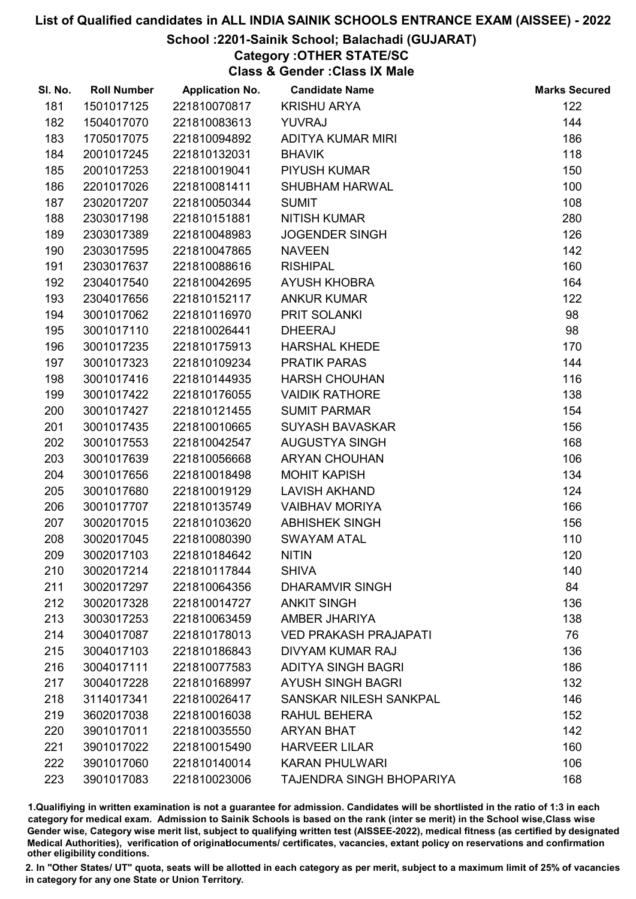## School :2201-Sainik School; Balachadi (GUJARAT)

# Category :OTHER STATE/SC

Class & Gender :Class IX Male

| SI. No. | <b>Roll Number</b> | <b>Application No.</b> | <b>Candidate Name</b>        | <b>Marks Secured</b> |
|---------|--------------------|------------------------|------------------------------|----------------------|
| 181     | 1501017125         | 221810070817           | <b>KRISHU ARYA</b>           | 122                  |
| 182     | 1504017070         | 221810083613           | <b>YUVRAJ</b>                | 144                  |
| 183     | 1705017075         | 221810094892           | <b>ADITYA KUMAR MIRI</b>     | 186                  |
| 184     | 2001017245         | 221810132031           | <b>BHAVIK</b>                | 118                  |
| 185     | 2001017253         | 221810019041           | <b>PIYUSH KUMAR</b>          | 150                  |
| 186     | 2201017026         | 221810081411           | <b>SHUBHAM HARWAL</b>        | 100                  |
| 187     | 2302017207         | 221810050344           | <b>SUMIT</b>                 | 108                  |
| 188     | 2303017198         | 221810151881           | <b>NITISH KUMAR</b>          | 280                  |
| 189     | 2303017389         | 221810048983           | <b>JOGENDER SINGH</b>        | 126                  |
| 190     | 2303017595         | 221810047865           | <b>NAVEEN</b>                | 142                  |
| 191     | 2303017637         | 221810088616           | <b>RISHIPAL</b>              | 160                  |
| 192     | 2304017540         | 221810042695           | <b>AYUSH KHOBRA</b>          | 164                  |
| 193     | 2304017656         | 221810152117           | <b>ANKUR KUMAR</b>           | 122                  |
| 194     | 3001017062         | 221810116970           | PRIT SOLANKI                 | 98                   |
| 195     | 3001017110         | 221810026441           | <b>DHEERAJ</b>               | 98                   |
| 196     | 3001017235         | 221810175913           | <b>HARSHAL KHEDE</b>         | 170                  |
| 197     | 3001017323         | 221810109234           | <b>PRATIK PARAS</b>          | 144                  |
| 198     | 3001017416         | 221810144935           | <b>HARSH CHOUHAN</b>         | 116                  |
| 199     | 3001017422         | 221810176055           | <b>VAIDIK RATHORE</b>        | 138                  |
| 200     | 3001017427         | 221810121455           | <b>SUMIT PARMAR</b>          | 154                  |
| 201     | 3001017435         | 221810010665           | <b>SUYASH BAVASKAR</b>       | 156                  |
| 202     | 3001017553         | 221810042547           | <b>AUGUSTYA SINGH</b>        | 168                  |
| 203     | 3001017639         | 221810056668           | <b>ARYAN CHOUHAN</b>         | 106                  |
| 204     | 3001017656         | 221810018498           | <b>MOHIT KAPISH</b>          | 134                  |
| 205     | 3001017680         | 221810019129           | <b>LAVISH AKHAND</b>         | 124                  |
| 206     | 3001017707         | 221810135749           | <b>VAIBHAV MORIYA</b>        | 166                  |
| 207     | 3002017015         | 221810103620           | <b>ABHISHEK SINGH</b>        | 156                  |
| 208     | 3002017045         | 221810080390           | <b>SWAYAM ATAL</b>           | 110                  |
| 209     | 3002017103         | 221810184642           | <b>NITIN</b>                 | 120                  |
| 210     | 3002017214         | 221810117844           | <b>SHIVA</b>                 | 140                  |
| 211     | 3002017297         | 221810064356           | DHARAMVIR SINGH              | 84                   |
| 212     | 3002017328         | 221810014727           | <b>ANKIT SINGH</b>           | 136                  |
| 213     | 3003017253         | 221810063459           | AMBER JHARIYA                | 138                  |
| 214     | 3004017087         | 221810178013           | <b>VED PRAKASH PRAJAPATI</b> | 76                   |
| 215     | 3004017103         | 221810186843           | DIVYAM KUMAR RAJ             | 136                  |
| 216     | 3004017111         | 221810077583           | <b>ADITYA SINGH BAGRI</b>    | 186                  |
| 217     | 3004017228         | 221810168997           | <b>AYUSH SINGH BAGRI</b>     | 132                  |
| 218     | 3114017341         | 221810026417           | SANSKAR NILESH SANKPAL       | 146                  |
| 219     | 3602017038         | 221810016038           | RAHUL BEHERA                 | 152                  |
| 220     | 3901017011         | 221810035550           | <b>ARYAN BHAT</b>            | 142                  |
| 221     | 3901017022         | 221810015490           | <b>HARVEER LILAR</b>         | 160                  |
| 222     | 3901017060         | 221810140014           | <b>KARAN PHULWARI</b>        | 106                  |
| 223     | 3901017083         | 221810023006           | TAJENDRA SINGH BHOPARIYA     | 168                  |

1.Qualifiying in written examination is not a guarantee for admission. Candidates will be shortlisted in the ratio of 1:3 in each category for medical exam. Admission to Sainik Schools is based on the rank (inter se merit) in the School wise,Class wise Gender wise, Category wise merit list, subject to qualifying written test (AISSEE-2022), medical fitness (as certified by designated Medical Authorities), verification of originablocuments/ certificates, vacancies, extant policy on reservations and confirmation other eligibility conditions.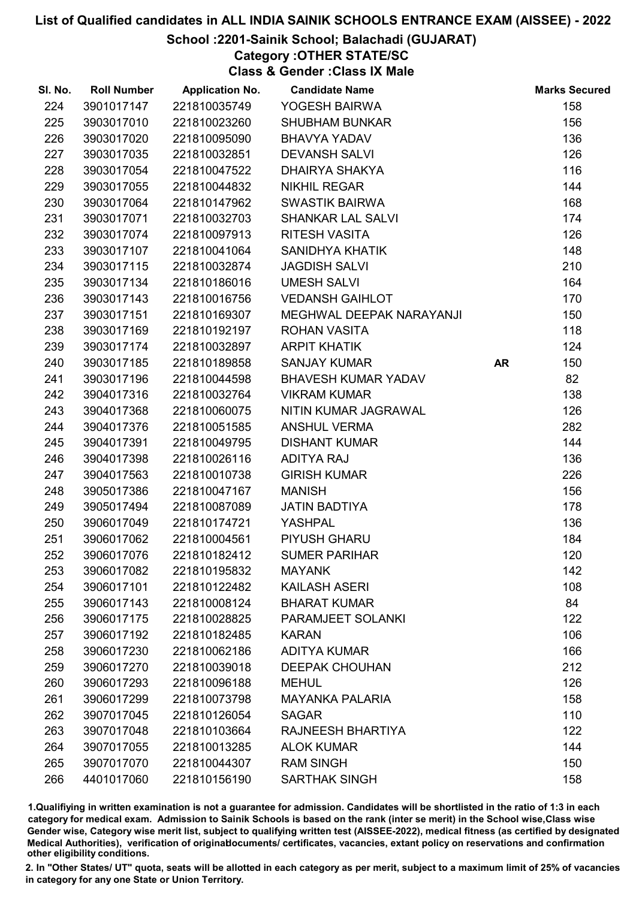## School :2201-Sainik School; Balachadi (GUJARAT)

Category :OTHER STATE/SC

Class & Gender :Class IX Male

| SI. No. | <b>Roll Number</b> | <b>Application No.</b> | <b>Candidate Name</b>      |           | <b>Marks Secured</b> |
|---------|--------------------|------------------------|----------------------------|-----------|----------------------|
| 224     | 3901017147         | 221810035749           | YOGESH BAIRWA              |           | 158                  |
| 225     | 3903017010         | 221810023260           | <b>SHUBHAM BUNKAR</b>      |           | 156                  |
| 226     | 3903017020         | 221810095090           | <b>BHAVYA YADAV</b>        |           | 136                  |
| 227     | 3903017035         | 221810032851           | <b>DEVANSH SALVI</b>       |           | 126                  |
| 228     | 3903017054         | 221810047522           | DHAIRYA SHAKYA             |           | 116                  |
| 229     | 3903017055         | 221810044832           | <b>NIKHIL REGAR</b>        |           | 144                  |
| 230     | 3903017064         | 221810147962           | <b>SWASTIK BAIRWA</b>      |           | 168                  |
| 231     | 3903017071         | 221810032703           | <b>SHANKAR LAL SALVI</b>   |           | 174                  |
| 232     | 3903017074         | 221810097913           | <b>RITESH VASITA</b>       |           | 126                  |
| 233     | 3903017107         | 221810041064           | <b>SANIDHYA KHATIK</b>     |           | 148                  |
| 234     | 3903017115         | 221810032874           | <b>JAGDISH SALVI</b>       |           | 210                  |
| 235     | 3903017134         | 221810186016           | <b>UMESH SALVI</b>         |           | 164                  |
| 236     | 3903017143         | 221810016756           | <b>VEDANSH GAIHLOT</b>     |           | 170                  |
| 237     | 3903017151         | 221810169307           | MEGHWAL DEEPAK NARAYANJI   |           | 150                  |
| 238     | 3903017169         | 221810192197           | <b>ROHAN VASITA</b>        |           | 118                  |
| 239     | 3903017174         | 221810032897           | <b>ARPIT KHATIK</b>        |           | 124                  |
| 240     | 3903017185         | 221810189858           | <b>SANJAY KUMAR</b>        | <b>AR</b> | 150                  |
| 241     | 3903017196         | 221810044598           | <b>BHAVESH KUMAR YADAV</b> |           | 82                   |
| 242     | 3904017316         | 221810032764           | <b>VIKRAM KUMAR</b>        |           | 138                  |
| 243     | 3904017368         | 221810060075           | NITIN KUMAR JAGRAWAL       |           | 126                  |
| 244     | 3904017376         | 221810051585           | <b>ANSHUL VERMA</b>        |           | 282                  |
| 245     | 3904017391         | 221810049795           | <b>DISHANT KUMAR</b>       |           | 144                  |
| 246     | 3904017398         | 221810026116           | <b>ADITYA RAJ</b>          |           | 136                  |
| 247     | 3904017563         | 221810010738           | <b>GIRISH KUMAR</b>        |           | 226                  |
| 248     | 3905017386         | 221810047167           | <b>MANISH</b>              |           | 156                  |
| 249     | 3905017494         | 221810087089           | <b>JATIN BADTIYA</b>       |           | 178                  |
| 250     | 3906017049         | 221810174721           | <b>YASHPAL</b>             |           | 136                  |
| 251     | 3906017062         | 221810004561           | PIYUSH GHARU               |           | 184                  |
| 252     | 3906017076         | 221810182412           | <b>SUMER PARIHAR</b>       |           | 120                  |
| 253     | 3906017082         | 221810195832           | <b>MAYANK</b>              |           | 142                  |
| 254     | 3906017101         | 221810122482           | <b>KAILASH ASERI</b>       |           | 108                  |
| 255     | 3906017143         | 221810008124           | <b>BHARAT KUMAR</b>        |           | 84                   |
| 256     | 3906017175         | 221810028825           | PARAMJEET SOLANKI          |           | 122                  |
| 257     | 3906017192         | 221810182485           | <b>KARAN</b>               |           | 106                  |
| 258     | 3906017230         | 221810062186           | <b>ADITYA KUMAR</b>        |           | 166                  |
| 259     | 3906017270         | 221810039018           | <b>DEEPAK CHOUHAN</b>      |           | 212                  |
| 260     | 3906017293         | 221810096188           | <b>MEHUL</b>               |           | 126                  |
| 261     | 3906017299         | 221810073798           | <b>MAYANKA PALARIA</b>     |           | 158                  |
| 262     | 3907017045         | 221810126054           | <b>SAGAR</b>               |           | 110                  |
| 263     | 3907017048         | 221810103664           | RAJNEESH BHARTIYA          |           | 122                  |
| 264     | 3907017055         | 221810013285           | <b>ALOK KUMAR</b>          |           | 144                  |
| 265     | 3907017070         | 221810044307           | <b>RAM SINGH</b>           |           | 150                  |
| 266     | 4401017060         | 221810156190           | <b>SARTHAK SINGH</b>       |           | 158                  |

1.Qualifiying in written examination is not a guarantee for admission. Candidates will be shortlisted in the ratio of 1:3 in each category for medical exam. Admission to Sainik Schools is based on the rank (inter se merit) in the School wise,Class wise Gender wise, Category wise merit list, subject to qualifying written test (AISSEE-2022), medical fitness (as certified by designated Medical Authorities), verification of originablocuments/ certificates, vacancies, extant policy on reservations and confirmation other eligibility conditions.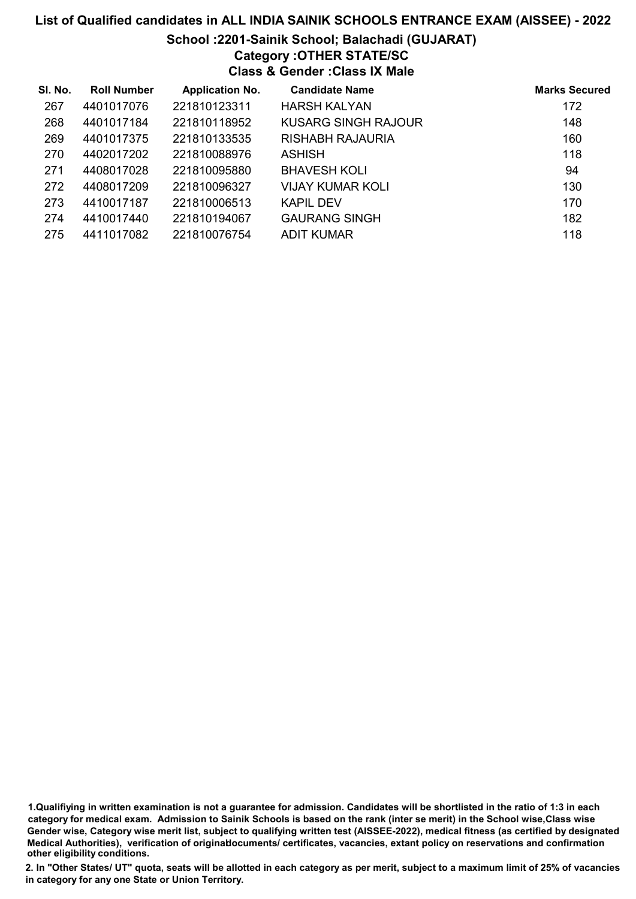# List of Qualified candidates in ALL INDIA SAINIK SCHOOLS ENTRANCE EXAM (AISSEE) - 2022 School :2201-Sainik School; Balachadi (GUJARAT) Category :OTHER STATE/SC Class & Gender :Class IX Male

| SI. No. | <b>Roll Number</b> | <b>Application No.</b> | <b>Candidate Name</b> | <b>Marks Secured</b> |
|---------|--------------------|------------------------|-----------------------|----------------------|
| 267     | 4401017076         | 221810123311           | <b>HARSH KALYAN</b>   | 172                  |
| 268     | 4401017184         | 221810118952           | KUSARG SINGH RAJOUR   | 148                  |
| 269     | 4401017375         | 221810133535           | RISHABH RAJAURIA      | 160                  |
| 270     | 4402017202         | 221810088976           | <b>ASHISH</b>         | 118                  |
| 271     | 4408017028         | 221810095880           | <b>BHAVESH KOLI</b>   | 94                   |
| 272     | 4408017209         | 221810096327           | VIJAY KUMAR KOLI      | 130                  |
| 273     | 4410017187         | 221810006513           | <b>KAPIL DEV</b>      | 170                  |
| 274     | 4410017440         | 221810194067           | <b>GAURANG SINGH</b>  | 182                  |
| 275     | 4411017082         | 221810076754           | ADIT KUMAR            | 118                  |

1.Qualifiying in written examination is not a guarantee for admission. Candidates will be shortlisted in the ratio of 1:3 in each category for medical exam. Admission to Sainik Schools is based on the rank (inter se merit) in the School wise,Class wise Gender wise, Category wise merit list, subject to qualifying written test (AISSEE-2022), medical fitness (as certified by designated Medical Authorities), verification of originablocuments/ certificates, vacancies, extant policy on reservations and confirmation other eligibility conditions.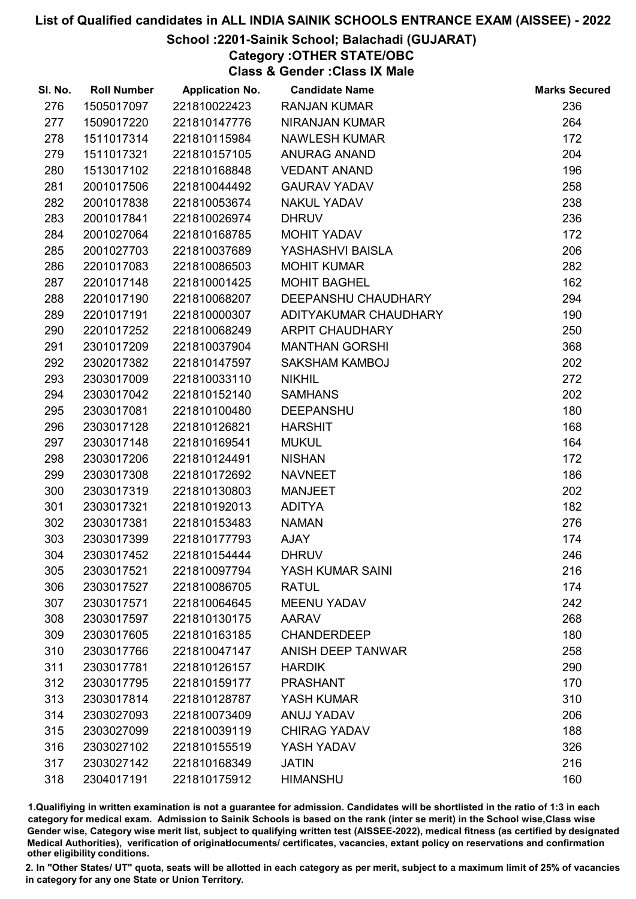## School :2201-Sainik School; Balachadi (GUJARAT)

Category :OTHER STATE/OBC

Class & Gender :Class IX Male

| SI. No. | <b>Roll Number</b> | <b>Application No.</b> | <b>Candidate Name</b>  | <b>Marks Secured</b> |
|---------|--------------------|------------------------|------------------------|----------------------|
| 276     | 1505017097         | 221810022423           | <b>RANJAN KUMAR</b>    | 236                  |
| 277     | 1509017220         | 221810147776           | <b>NIRANJAN KUMAR</b>  | 264                  |
| 278     | 1511017314         | 221810115984           | <b>NAWLESH KUMAR</b>   | 172                  |
| 279     | 1511017321         | 221810157105           | <b>ANURAG ANAND</b>    | 204                  |
| 280     | 1513017102         | 221810168848           | <b>VEDANT ANAND</b>    | 196                  |
| 281     | 2001017506         | 221810044492           | <b>GAURAV YADAV</b>    | 258                  |
| 282     | 2001017838         | 221810053674           | <b>NAKUL YADAV</b>     | 238                  |
| 283     | 2001017841         | 221810026974           | <b>DHRUV</b>           | 236                  |
| 284     | 2001027064         | 221810168785           | MOHIT YADAV            | 172                  |
| 285     | 2001027703         | 221810037689           | YASHASHVI BAISLA       | 206                  |
| 286     | 2201017083         | 221810086503           | <b>MOHIT KUMAR</b>     | 282                  |
| 287     | 2201017148         | 221810001425           | <b>MOHIT BAGHEL</b>    | 162                  |
| 288     | 2201017190         | 221810068207           | DEEPANSHU CHAUDHARY    | 294                  |
| 289     | 2201017191         | 221810000307           | ADITYAKUMAR CHAUDHARY  | 190                  |
| 290     | 2201017252         | 221810068249           | <b>ARPIT CHAUDHARY</b> | 250                  |
| 291     | 2301017209         | 221810037904           | <b>MANTHAN GORSHI</b>  | 368                  |
| 292     | 2302017382         | 221810147597           | <b>SAKSHAM KAMBOJ</b>  | 202                  |
| 293     | 2303017009         | 221810033110           | <b>NIKHIL</b>          | 272                  |
| 294     | 2303017042         | 221810152140           | <b>SAMHANS</b>         | 202                  |
| 295     | 2303017081         | 221810100480           | <b>DEEPANSHU</b>       | 180                  |
| 296     | 2303017128         | 221810126821           | <b>HARSHIT</b>         | 168                  |
| 297     | 2303017148         | 221810169541           | <b>MUKUL</b>           | 164                  |
| 298     | 2303017206         | 221810124491           | <b>NISHAN</b>          | 172                  |
| 299     | 2303017308         | 221810172692           | <b>NAVNEET</b>         | 186                  |
| 300     | 2303017319         | 221810130803           | <b>MANJEET</b>         | 202                  |
| 301     | 2303017321         | 221810192013           | <b>ADITYA</b>          | 182                  |
| 302     | 2303017381         | 221810153483           | <b>NAMAN</b>           | 276                  |
| 303     | 2303017399         | 221810177793           | <b>AJAY</b>            | 174                  |
| 304     | 2303017452         | 221810154444           | <b>DHRUV</b>           | 246                  |
| 305     | 2303017521         | 221810097794           | YASH KUMAR SAINI       | 216                  |
| 306     | 2303017527         | 221810086705           | <b>RATUL</b>           | 174                  |
| 307     | 2303017571         | 221810064645           | <b>MEENU YADAV</b>     | 242                  |
| 308     | 2303017597         | 221810130175           | <b>AARAV</b>           | 268                  |
| 309     | 2303017605         | 221810163185           | <b>CHANDERDEEP</b>     | 180                  |
| 310     | 2303017766         | 221810047147           | ANISH DEEP TANWAR      | 258                  |
| 311     | 2303017781         | 221810126157           | <b>HARDIK</b>          | 290                  |
| 312     | 2303017795         | 221810159177           | <b>PRASHANT</b>        | 170                  |
| 313     | 2303017814         | 221810128787           | YASH KUMAR             | 310                  |
| 314     | 2303027093         | 221810073409           | ANUJ YADAV             | 206                  |
| 315     | 2303027099         | 221810039119           | <b>CHIRAG YADAV</b>    | 188                  |
| 316     | 2303027102         | 221810155519           | YASH YADAV             | 326                  |
| 317     | 2303027142         | 221810168349           | <b>JATIN</b>           | 216                  |
| 318     | 2304017191         | 221810175912           | <b>HIMANSHU</b>        | 160                  |

1.Qualifiying in written examination is not a guarantee for admission. Candidates will be shortlisted in the ratio of 1:3 in each category for medical exam. Admission to Sainik Schools is based on the rank (inter se merit) in the School wise,Class wise Gender wise, Category wise merit list, subject to qualifying written test (AISSEE-2022), medical fitness (as certified by designated Medical Authorities), verification of originablocuments/ certificates, vacancies, extant policy on reservations and confirmation other eligibility conditions.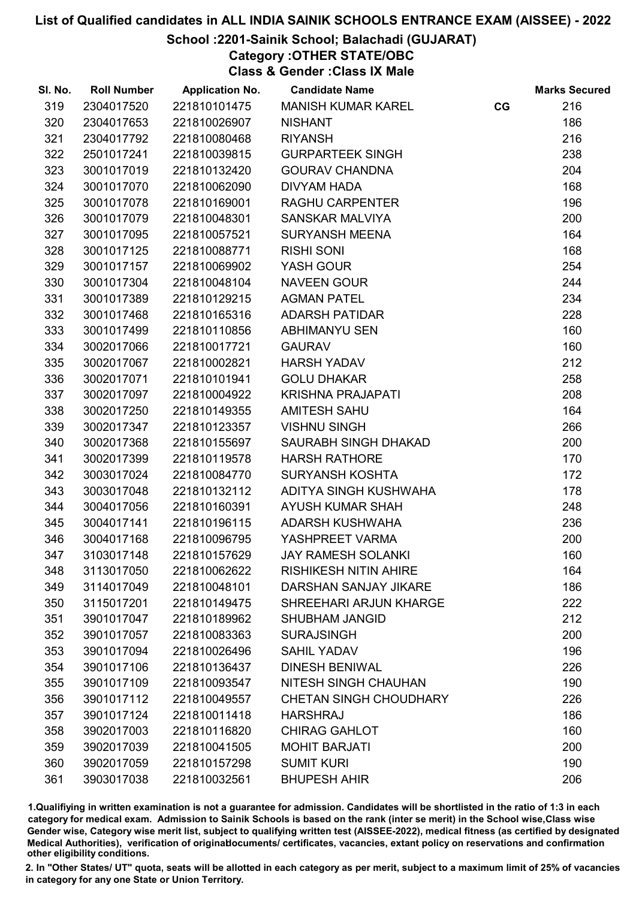## School :2201-Sainik School; Balachadi (GUJARAT)

Category :OTHER STATE/OBC

Class & Gender :Class IX Male

| SI. No. | <b>Roll Number</b> | <b>Application No.</b> | <b>Candidate Name</b>         |    | <b>Marks Secured</b> |
|---------|--------------------|------------------------|-------------------------------|----|----------------------|
| 319     | 2304017520         | 221810101475           | <b>MANISH KUMAR KAREL</b>     | CG | 216                  |
| 320     | 2304017653         | 221810026907           | <b>NISHANT</b>                |    | 186                  |
| 321     | 2304017792         | 221810080468           | <b>RIYANSH</b>                |    | 216                  |
| 322     | 2501017241         | 221810039815           | <b>GURPARTEEK SINGH</b>       |    | 238                  |
| 323     | 3001017019         | 221810132420           | <b>GOURAV CHANDNA</b>         |    | 204                  |
| 324     | 3001017070         | 221810062090           | <b>DIVYAM HADA</b>            |    | 168                  |
| 325     | 3001017078         | 221810169001           | <b>RAGHU CARPENTER</b>        |    | 196                  |
| 326     | 3001017079         | 221810048301           | <b>SANSKAR MALVIYA</b>        |    | 200                  |
| 327     | 3001017095         | 221810057521           | <b>SURYANSH MEENA</b>         |    | 164                  |
| 328     | 3001017125         | 221810088771           | <b>RISHI SONI</b>             |    | 168                  |
| 329     | 3001017157         | 221810069902           | YASH GOUR                     |    | 254                  |
| 330     | 3001017304         | 221810048104           | <b>NAVEEN GOUR</b>            |    | 244                  |
| 331     | 3001017389         | 221810129215           | <b>AGMAN PATEL</b>            |    | 234                  |
| 332     | 3001017468         | 221810165316           | <b>ADARSH PATIDAR</b>         |    | 228                  |
| 333     | 3001017499         | 221810110856           | <b>ABHIMANYU SEN</b>          |    | 160                  |
| 334     | 3002017066         | 221810017721           | <b>GAURAV</b>                 |    | 160                  |
| 335     | 3002017067         | 221810002821           | <b>HARSH YADAV</b>            |    | 212                  |
| 336     | 3002017071         | 221810101941           | <b>GOLU DHAKAR</b>            |    | 258                  |
| 337     | 3002017097         | 221810004922           | <b>KRISHNA PRAJAPATI</b>      |    | 208                  |
| 338     | 3002017250         | 221810149355           | <b>AMITESH SAHU</b>           |    | 164                  |
| 339     | 3002017347         | 221810123357           | <b>VISHNU SINGH</b>           |    | 266                  |
| 340     | 3002017368         | 221810155697           | SAURABH SINGH DHAKAD          |    | 200                  |
| 341     | 3002017399         | 221810119578           | <b>HARSH RATHORE</b>          |    | 170                  |
| 342     | 3003017024         | 221810084770           | <b>SURYANSH KOSHTA</b>        |    | 172                  |
| 343     | 3003017048         | 221810132112           | ADITYA SINGH KUSHWAHA         |    | 178                  |
| 344     | 3004017056         | 221810160391           | <b>AYUSH KUMAR SHAH</b>       |    | 248                  |
| 345     | 3004017141         | 221810196115           | ADARSH KUSHWAHA               |    | 236                  |
| 346     | 3004017168         | 221810096795           | YASHPREET VARMA               |    | 200                  |
| 347     | 3103017148         | 221810157629           | <b>JAY RAMESH SOLANKI</b>     |    | 160                  |
| 348     | 3113017050         | 221810062622           | <b>RISHIKESH NITIN AHIRE</b>  |    | 164                  |
| 349     | 3114017049         | 221810048101           | DARSHAN SANJAY JIKARE         |    | 186                  |
| 350     | 3115017201         | 221810149475           | SHREEHARI ARJUN KHARGE        |    | 222                  |
| 351     | 3901017047         | 221810189962           | <b>SHUBHAM JANGID</b>         |    | 212                  |
| 352     | 3901017057         | 221810083363           | <b>SURAJSINGH</b>             |    | 200                  |
| 353     | 3901017094         | 221810026496           | <b>SAHIL YADAV</b>            |    | 196                  |
| 354     | 3901017106         | 221810136437           | <b>DINESH BENIWAL</b>         |    | 226                  |
| 355     | 3901017109         | 221810093547           | <b>NITESH SINGH CHAUHAN</b>   |    | 190                  |
| 356     | 3901017112         | 221810049557           | <b>CHETAN SINGH CHOUDHARY</b> |    | 226                  |
| 357     | 3901017124         | 221810011418           | <b>HARSHRAJ</b>               |    | 186                  |
| 358     | 3902017003         | 221810116820           | <b>CHIRAG GAHLOT</b>          |    | 160                  |
| 359     | 3902017039         | 221810041505           | <b>MOHIT BARJATI</b>          |    | 200                  |
| 360     | 3902017059         | 221810157298           | <b>SUMIT KURI</b>             |    | 190                  |
| 361     | 3903017038         | 221810032561           | <b>BHUPESH AHIR</b>           |    | 206                  |
|         |                    |                        |                               |    |                      |

1.Qualifiying in written examination is not a guarantee for admission. Candidates will be shortlisted in the ratio of 1:3 in each category for medical exam. Admission to Sainik Schools is based on the rank (inter se merit) in the School wise,Class wise Gender wise, Category wise merit list, subject to qualifying written test (AISSEE-2022), medical fitness (as certified by designated Medical Authorities), verification of originablocuments/ certificates, vacancies, extant policy on reservations and confirmation other eligibility conditions.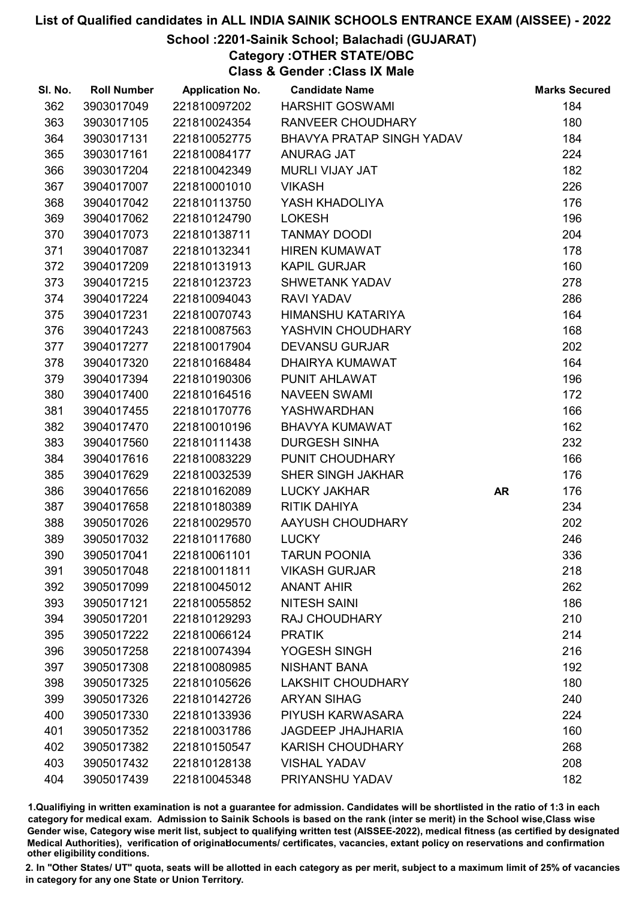## School :2201-Sainik School; Balachadi (GUJARAT)

Category :OTHER STATE/OBC

Class & Gender :Class IX Male

| SI. No. | <b>Roll Number</b> | <b>Application No.</b> | <b>Candidate Name</b>     |           | <b>Marks Secured</b> |
|---------|--------------------|------------------------|---------------------------|-----------|----------------------|
| 362     | 3903017049         | 221810097202           | <b>HARSHIT GOSWAMI</b>    |           | 184                  |
| 363     | 3903017105         | 221810024354           | RANVEER CHOUDHARY         |           | 180                  |
| 364     | 3903017131         | 221810052775           | BHAVYA PRATAP SINGH YADAV |           | 184                  |
| 365     | 3903017161         | 221810084177           | <b>ANURAG JAT</b>         |           | 224                  |
| 366     | 3903017204         | 221810042349           | <b>MURLI VIJAY JAT</b>    |           | 182                  |
| 367     | 3904017007         | 221810001010           | <b>VIKASH</b>             |           | 226                  |
| 368     | 3904017042         | 221810113750           | YASH KHADOLIYA            |           | 176                  |
| 369     | 3904017062         | 221810124790           | <b>LOKESH</b>             |           | 196                  |
| 370     | 3904017073         | 221810138711           | <b>TANMAY DOODI</b>       |           | 204                  |
| 371     | 3904017087         | 221810132341           | <b>HIREN KUMAWAT</b>      |           | 178                  |
| 372     | 3904017209         | 221810131913           | <b>KAPIL GURJAR</b>       |           | 160                  |
| 373     | 3904017215         | 221810123723           | <b>SHWETANK YADAV</b>     |           | 278                  |
| 374     | 3904017224         | 221810094043           | <b>RAVI YADAV</b>         |           | 286                  |
| 375     | 3904017231         | 221810070743           | HIMANSHU KATARIYA         |           | 164                  |
| 376     | 3904017243         | 221810087563           | YASHVIN CHOUDHARY         |           | 168                  |
| 377     | 3904017277         | 221810017904           | <b>DEVANSU GURJAR</b>     |           | 202                  |
| 378     | 3904017320         | 221810168484           | DHAIRYA KUMAWAT           |           | 164                  |
| 379     | 3904017394         | 221810190306           | PUNIT AHLAWAT             |           | 196                  |
| 380     | 3904017400         | 221810164516           | <b>NAVEEN SWAMI</b>       |           | 172                  |
| 381     | 3904017455         | 221810170776           | <b>YASHWARDHAN</b>        |           | 166                  |
| 382     | 3904017470         | 221810010196           | <b>BHAVYA KUMAWAT</b>     |           | 162                  |
| 383     | 3904017560         | 221810111438           | <b>DURGESH SINHA</b>      |           | 232                  |
| 384     | 3904017616         | 221810083229           | PUNIT CHOUDHARY           |           | 166                  |
| 385     | 3904017629         | 221810032539           | <b>SHER SINGH JAKHAR</b>  |           | 176                  |
| 386     | 3904017656         | 221810162089           | LUCKY JAKHAR              | <b>AR</b> | 176                  |
| 387     | 3904017658         | 221810180389           | <b>RITIK DAHIYA</b>       |           | 234                  |
| 388     | 3905017026         | 221810029570           | AAYUSH CHOUDHARY          |           | 202                  |
| 389     | 3905017032         | 221810117680           | <b>LUCKY</b>              |           | 246                  |
| 390     | 3905017041         | 221810061101           | <b>TARUN POONIA</b>       |           | 336                  |
| 391     | 3905017048         | 221810011811           | <b>VIKASH GURJAR</b>      |           | 218                  |
| 392     | 3905017099         | 221810045012           | <b>ANANT AHIR</b>         |           | 262                  |
| 393     | 3905017121         | 221810055852           | <b>NITESH SAINI</b>       |           | 186                  |
| 394     | 3905017201         | 221810129293           | <b>RAJ CHOUDHARY</b>      |           | 210                  |
| 395     | 3905017222         | 221810066124           | <b>PRATIK</b>             |           | 214                  |
| 396     | 3905017258         | 221810074394           | YOGESH SINGH              |           | 216                  |
| 397     | 3905017308         | 221810080985           | <b>NISHANT BANA</b>       |           | 192                  |
| 398     | 3905017325         | 221810105626           | <b>LAKSHIT CHOUDHARY</b>  |           | 180                  |
| 399     | 3905017326         | 221810142726           | <b>ARYAN SIHAG</b>        |           | 240                  |
| 400     | 3905017330         | 221810133936           | PIYUSH KARWASARA          |           | 224                  |
| 401     | 3905017352         | 221810031786           | <b>JAGDEEP JHAJHARIA</b>  |           | 160                  |
| 402     | 3905017382         | 221810150547           | <b>KARISH CHOUDHARY</b>   |           | 268                  |
| 403     | 3905017432         | 221810128138           | <b>VISHAL YADAV</b>       |           | 208                  |
| 404     | 3905017439         | 221810045348           | PRIYANSHU YADAV           |           | 182                  |

1.Qualifiying in written examination is not a guarantee for admission. Candidates will be shortlisted in the ratio of 1:3 in each category for medical exam. Admission to Sainik Schools is based on the rank (inter se merit) in the School wise,Class wise Gender wise, Category wise merit list, subject to qualifying written test (AISSEE-2022), medical fitness (as certified by designated Medical Authorities), verification of originablocuments/ certificates, vacancies, extant policy on reservations and confirmation other eligibility conditions.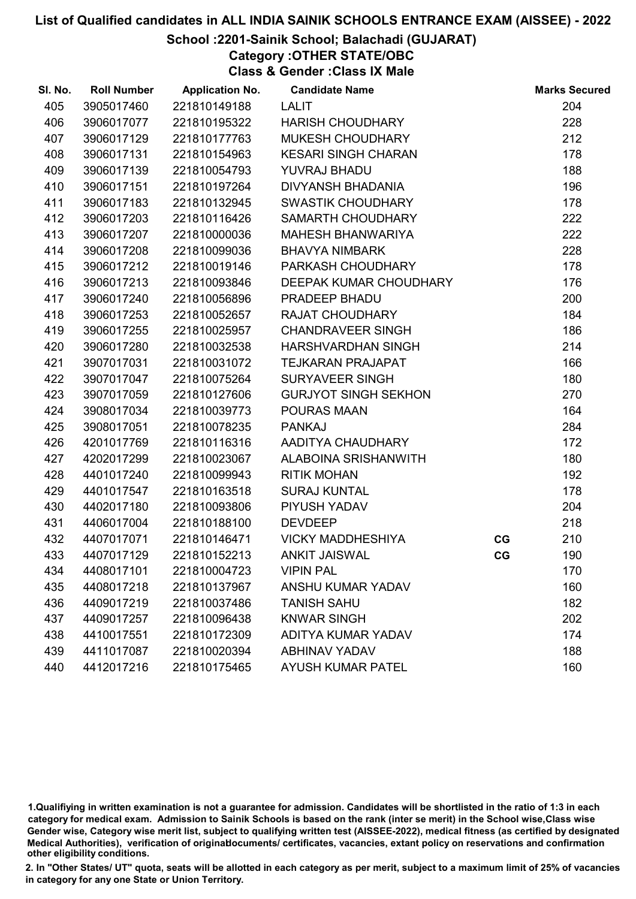### School :2201-Sainik School; Balachadi (GUJARAT)

Category :OTHER STATE/OBC

Class & Gender :Class IX Male

| SI. No. | <b>Roll Number</b> | <b>Application No.</b> | <b>Candidate Name</b>       |    | <b>Marks Secured</b> |
|---------|--------------------|------------------------|-----------------------------|----|----------------------|
| 405     | 3905017460         | 221810149188           | <b>LALIT</b>                |    | 204                  |
| 406     | 3906017077         | 221810195322           | <b>HARISH CHOUDHARY</b>     |    | 228                  |
| 407     | 3906017129         | 221810177763           | MUKESH CHOUDHARY            |    | 212                  |
| 408     | 3906017131         | 221810154963           | <b>KESARI SINGH CHARAN</b>  |    | 178                  |
| 409     | 3906017139         | 221810054793           | YUVRAJ BHADU                |    | 188                  |
| 410     | 3906017151         | 221810197264           | <b>DIVYANSH BHADANIA</b>    |    | 196                  |
| 411     | 3906017183         | 221810132945           | <b>SWASTIK CHOUDHARY</b>    |    | 178                  |
| 412     | 3906017203         | 221810116426           | SAMARTH CHOUDHARY           |    | 222                  |
| 413     | 3906017207         | 221810000036           | <b>MAHESH BHANWARIYA</b>    |    | 222                  |
| 414     | 3906017208         | 221810099036           | <b>BHAVYA NIMBARK</b>       |    | 228                  |
| 415     | 3906017212         | 221810019146           | PARKASH CHOUDHARY           |    | 178                  |
| 416     | 3906017213         | 221810093846           | DEEPAK KUMAR CHOUDHARY      |    | 176                  |
| 417     | 3906017240         | 221810056896           | PRADEEP BHADU               |    | 200                  |
| 418     | 3906017253         | 221810052657           | <b>RAJAT CHOUDHARY</b>      |    | 184                  |
| 419     | 3906017255         | 221810025957           | <b>CHANDRAVEER SINGH</b>    |    | 186                  |
| 420     | 3906017280         | 221810032538           | HARSHVARDHAN SINGH          |    | 214                  |
| 421     | 3907017031         | 221810031072           | <b>TEJKARAN PRAJAPAT</b>    |    | 166                  |
| 422     | 3907017047         | 221810075264           | <b>SURYAVEER SINGH</b>      |    | 180                  |
| 423     | 3907017059         | 221810127606           | <b>GURJYOT SINGH SEKHON</b> |    | 270                  |
| 424     | 3908017034         | 221810039773           | <b>POURAS MAAN</b>          |    | 164                  |
| 425     | 3908017051         | 221810078235           | <b>PANKAJ</b>               |    | 284                  |
| 426     | 4201017769         | 221810116316           | AADITYA CHAUDHARY           |    | 172                  |
| 427     | 4202017299         | 221810023067           | ALABOINA SRISHANWITH        |    | 180                  |
| 428     | 4401017240         | 221810099943           | <b>RITIK MOHAN</b>          |    | 192                  |
| 429     | 4401017547         | 221810163518           | <b>SURAJ KUNTAL</b>         |    | 178                  |
| 430     | 4402017180         | 221810093806           | PIYUSH YADAV                |    | 204                  |
| 431     | 4406017004         | 221810188100           | <b>DEVDEEP</b>              |    | 218                  |
| 432     | 4407017071         | 221810146471           | <b>VICKY MADDHESHIYA</b>    | CG | 210                  |
| 433     | 4407017129         | 221810152213           | <b>ANKIT JAISWAL</b>        | CG | 190                  |
| 434     | 4408017101         | 221810004723           | <b>VIPIN PAL</b>            |    | 170                  |
| 435     | 4408017218         | 221810137967           | <b>ANSHU KUMAR YADAV</b>    |    | 160                  |
| 436     | 4409017219         | 221810037486           | <b>TANISH SAHU</b>          |    | 182                  |
| 437     | 4409017257         | 221810096438           | <b>KNWAR SINGH</b>          |    | 202                  |
| 438     | 4410017551         | 221810172309           | <b>ADITYA KUMAR YADAV</b>   |    | 174                  |
| 439     | 4411017087         | 221810020394           | <b>ABHINAV YADAV</b>        |    | 188                  |
| 440     | 4412017216         | 221810175465           | <b>AYUSH KUMAR PATEL</b>    |    | 160                  |

1.Qualifiying in written examination is not a guarantee for admission. Candidates will be shortlisted in the ratio of 1:3 in each category for medical exam. Admission to Sainik Schools is based on the rank (inter se merit) in the School wise,Class wise Gender wise, Category wise merit list, subject to qualifying written test (AISSEE-2022), medical fitness (as certified by designated Medical Authorities), verification of originablocuments/ certificates, vacancies, extant policy on reservations and confirmation other eligibility conditions.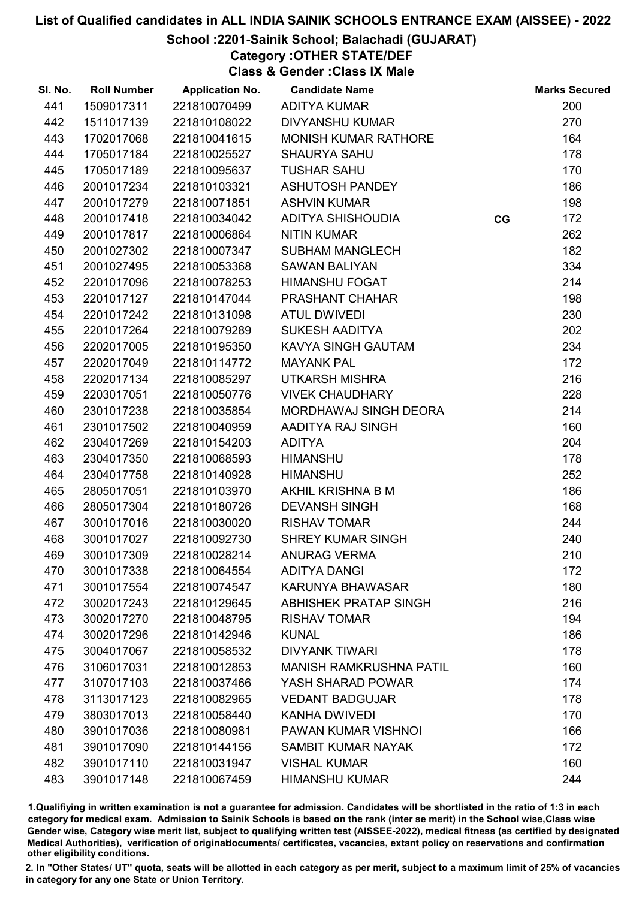## School :2201-Sainik School; Balachadi (GUJARAT)

Category :OTHER STATE/DEF

Class & Gender :Class IX Male

| SI. No. | <b>Roll Number</b> | <b>Application No.</b> | <b>Candidate Name</b>          |    | <b>Marks Secured</b> |
|---------|--------------------|------------------------|--------------------------------|----|----------------------|
| 441     | 1509017311         | 221810070499           | <b>ADITYA KUMAR</b>            |    | 200                  |
| 442     | 1511017139         | 221810108022           | <b>DIVYANSHU KUMAR</b>         |    | 270                  |
| 443     | 1702017068         | 221810041615           | <b>MONISH KUMAR RATHORE</b>    |    | 164                  |
| 444     | 1705017184         | 221810025527           | <b>SHAURYA SAHU</b>            |    | 178                  |
| 445     | 1705017189         | 221810095637           | <b>TUSHAR SAHU</b>             |    | 170                  |
| 446     | 2001017234         | 221810103321           | <b>ASHUTOSH PANDEY</b>         |    | 186                  |
| 447     | 2001017279         | 221810071851           | <b>ASHVIN KUMAR</b>            |    | 198                  |
| 448     | 2001017418         | 221810034042           | ADITYA SHISHOUDIA              | CG | 172                  |
| 449     | 2001017817         | 221810006864           | <b>NITIN KUMAR</b>             |    | 262                  |
| 450     | 2001027302         | 221810007347           | <b>SUBHAM MANGLECH</b>         |    | 182                  |
| 451     | 2001027495         | 221810053368           | <b>SAWAN BALIYAN</b>           |    | 334                  |
| 452     | 2201017096         | 221810078253           | <b>HIMANSHU FOGAT</b>          |    | 214                  |
| 453     | 2201017127         | 221810147044           | <b>PRASHANT CHAHAR</b>         |    | 198                  |
| 454     | 2201017242         | 221810131098           | <b>ATUL DWIVEDI</b>            |    | 230                  |
| 455     | 2201017264         | 221810079289           | <b>SUKESH AADITYA</b>          |    | 202                  |
| 456     | 2202017005         | 221810195350           | <b>KAVYA SINGH GAUTAM</b>      |    | 234                  |
| 457     | 2202017049         | 221810114772           | <b>MAYANK PAL</b>              |    | 172                  |
| 458     | 2202017134         | 221810085297           | <b>UTKARSH MISHRA</b>          |    | 216                  |
| 459     | 2203017051         | 221810050776           | <b>VIVEK CHAUDHARY</b>         |    | 228                  |
| 460     | 2301017238         | 221810035854           | MORDHAWAJ SINGH DEORA          |    | 214                  |
| 461     | 2301017502         | 221810040959           | AADITYA RAJ SINGH              |    | 160                  |
| 462     | 2304017269         | 221810154203           | <b>ADITYA</b>                  |    | 204                  |
| 463     | 2304017350         | 221810068593           | <b>HIMANSHU</b>                |    | 178                  |
| 464     | 2304017758         | 221810140928           | <b>HIMANSHU</b>                |    | 252                  |
| 465     | 2805017051         | 221810103970           | AKHIL KRISHNA B M              |    | 186                  |
| 466     | 2805017304         | 221810180726           | <b>DEVANSH SINGH</b>           |    | 168                  |
| 467     | 3001017016         | 221810030020           | <b>RISHAV TOMAR</b>            |    | 244                  |
| 468     | 3001017027         | 221810092730           | <b>SHREY KUMAR SINGH</b>       |    | 240                  |
| 469     | 3001017309         | 221810028214           | <b>ANURAG VERMA</b>            |    | 210                  |
| 470     | 3001017338         | 221810064554           | <b>ADITYA DANGI</b>            |    | 172                  |
| 471     | 3001017554         | 221810074547           | <b>KARUNYA BHAWASAR</b>        |    | 180                  |
| 472     | 3002017243         | 221810129645           | <b>ABHISHEK PRATAP SINGH</b>   |    | 216                  |
| 473     | 3002017270         | 221810048795           | <b>RISHAV TOMAR</b>            |    | 194                  |
| 474     | 3002017296         | 221810142946           | <b>KUNAL</b>                   |    | 186                  |
| 475     | 3004017067         | 221810058532           | <b>DIVYANK TIWARI</b>          |    | 178                  |
| 476     | 3106017031         | 221810012853           | <b>MANISH RAMKRUSHNA PATIL</b> |    | 160                  |
| 477     | 3107017103         | 221810037466           | YASH SHARAD POWAR              |    | 174                  |
| 478     | 3113017123         | 221810082965           | <b>VEDANT BADGUJAR</b>         |    | 178                  |
| 479     | 3803017013         | 221810058440           | <b>KANHA DWIVEDI</b>           |    | 170                  |
| 480     | 3901017036         | 221810080981           | PAWAN KUMAR VISHNOI            |    | 166                  |
| 481     | 3901017090         | 221810144156           | SAMBIT KUMAR NAYAK             |    | 172                  |
| 482     | 3901017110         | 221810031947           | <b>VISHAL KUMAR</b>            |    | 160                  |
| 483     | 3901017148         | 221810067459           | <b>HIMANSHU KUMAR</b>          |    | 244                  |

1.Qualifiying in written examination is not a guarantee for admission. Candidates will be shortlisted in the ratio of 1:3 in each category for medical exam. Admission to Sainik Schools is based on the rank (inter se merit) in the School wise,Class wise Gender wise, Category wise merit list, subject to qualifying written test (AISSEE-2022), medical fitness (as certified by designated Medical Authorities), verification of originablocuments/ certificates, vacancies, extant policy on reservations and confirmation other eligibility conditions.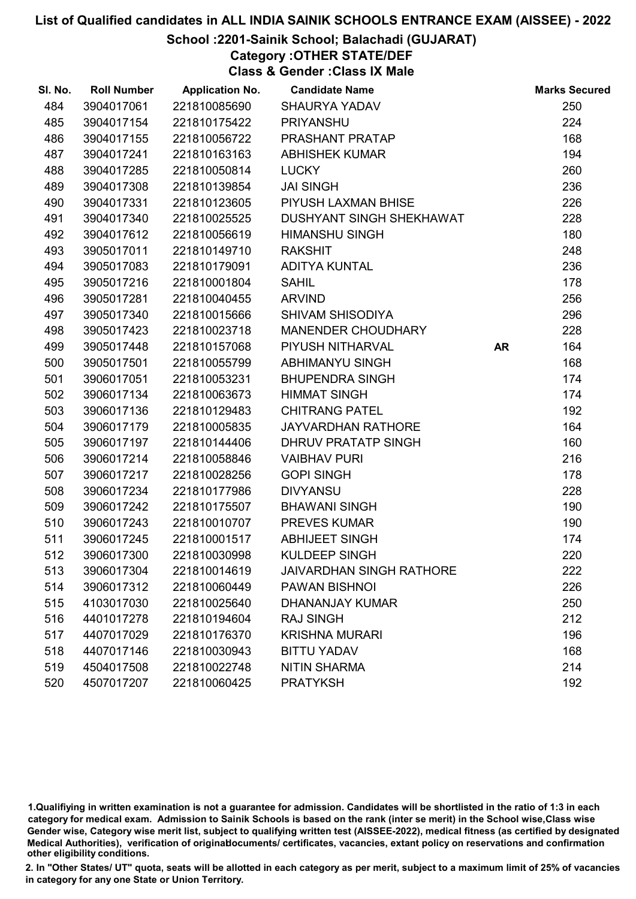## School :2201-Sainik School; Balachadi (GUJARAT)

Category :OTHER STATE/DEF

Class & Gender :Class IX Male

| SI. No. | <b>Roll Number</b> | <b>Application No.</b> | <b>Candidate Name</b>           |           | <b>Marks Secured</b> |
|---------|--------------------|------------------------|---------------------------------|-----------|----------------------|
| 484     | 3904017061         | 221810085690           | <b>SHAURYA YADAV</b>            |           | 250                  |
| 485     | 3904017154         | 221810175422           | <b>PRIYANSHU</b>                |           | 224                  |
| 486     | 3904017155         | 221810056722           | PRASHANT PRATAP                 |           | 168                  |
| 487     | 3904017241         | 221810163163           | <b>ABHISHEK KUMAR</b>           |           | 194                  |
| 488     | 3904017285         | 221810050814           | <b>LUCKY</b>                    |           | 260                  |
| 489     | 3904017308         | 221810139854           | <b>JAI SINGH</b>                |           | 236                  |
| 490     | 3904017331         | 221810123605           | PIYUSH LAXMAN BHISE             |           | 226                  |
| 491     | 3904017340         | 221810025525           | <b>DUSHYANT SINGH SHEKHAWAT</b> |           | 228                  |
| 492     | 3904017612         | 221810056619           | <b>HIMANSHU SINGH</b>           |           | 180                  |
| 493     | 3905017011         | 221810149710           | <b>RAKSHIT</b>                  |           | 248                  |
| 494     | 3905017083         | 221810179091           | <b>ADITYA KUNTAL</b>            |           | 236                  |
| 495     | 3905017216         | 221810001804           | <b>SAHIL</b>                    |           | 178                  |
| 496     | 3905017281         | 221810040455           | <b>ARVIND</b>                   |           | 256                  |
| 497     | 3905017340         | 221810015666           | <b>SHIVAM SHISODIYA</b>         |           | 296                  |
| 498     | 3905017423         | 221810023718           | MANENDER CHOUDHARY              |           | 228                  |
| 499     | 3905017448         | 221810157068           | PIYUSH NITHARVAL                | <b>AR</b> | 164                  |
| 500     | 3905017501         | 221810055799           | ABHIMANYU SINGH                 |           | 168                  |
| 501     | 3906017051         | 221810053231           | <b>BHUPENDRA SINGH</b>          |           | 174                  |
| 502     | 3906017134         | 221810063673           | <b>HIMMAT SINGH</b>             |           | 174                  |
| 503     | 3906017136         | 221810129483           | <b>CHITRANG PATEL</b>           |           | 192                  |
| 504     | 3906017179         | 221810005835           | <b>JAYVARDHAN RATHORE</b>       |           | 164                  |
| 505     | 3906017197         | 221810144406           | DHRUV PRATATP SINGH             |           | 160                  |
| 506     | 3906017214         | 221810058846           | <b>VAIBHAV PURI</b>             |           | 216                  |
| 507     | 3906017217         | 221810028256           | <b>GOPI SINGH</b>               |           | 178                  |
| 508     | 3906017234         | 221810177986           | <b>DIVYANSU</b>                 |           | 228                  |
| 509     | 3906017242         | 221810175507           | <b>BHAWANI SINGH</b>            |           | 190                  |
| 510     | 3906017243         | 221810010707           | <b>PREVES KUMAR</b>             |           | 190                  |
| 511     | 3906017245         | 221810001517           | <b>ABHIJEET SINGH</b>           |           | 174                  |
| 512     | 3906017300         | 221810030998           | <b>KULDEEP SINGH</b>            |           | 220                  |
| 513     | 3906017304         | 221810014619           | <b>JAIVARDHAN SINGH RATHORE</b> |           | 222                  |
| 514     | 3906017312         | 221810060449           | <b>PAWAN BISHNOI</b>            |           | 226                  |
| 515     | 4103017030         | 221810025640           | <b>DHANANJAY KUMAR</b>          |           | 250                  |
| 516     | 4401017278         | 221810194604           | <b>RAJ SINGH</b>                |           | 212                  |
| 517     | 4407017029         | 221810176370           | <b>KRISHNA MURARI</b>           |           | 196                  |
| 518     | 4407017146         | 221810030943           | <b>BITTU YADAV</b>              |           | 168                  |
| 519     | 4504017508         | 221810022748           | <b>NITIN SHARMA</b>             |           | 214                  |
| 520     | 4507017207         | 221810060425           | <b>PRATYKSH</b>                 |           | 192                  |

1.Qualifiying in written examination is not a guarantee for admission. Candidates will be shortlisted in the ratio of 1:3 in each category for medical exam. Admission to Sainik Schools is based on the rank (inter se merit) in the School wise,Class wise Gender wise, Category wise merit list, subject to qualifying written test (AISSEE-2022), medical fitness (as certified by designated Medical Authorities), verification of originablocuments/ certificates, vacancies, extant policy on reservations and confirmation other eligibility conditions.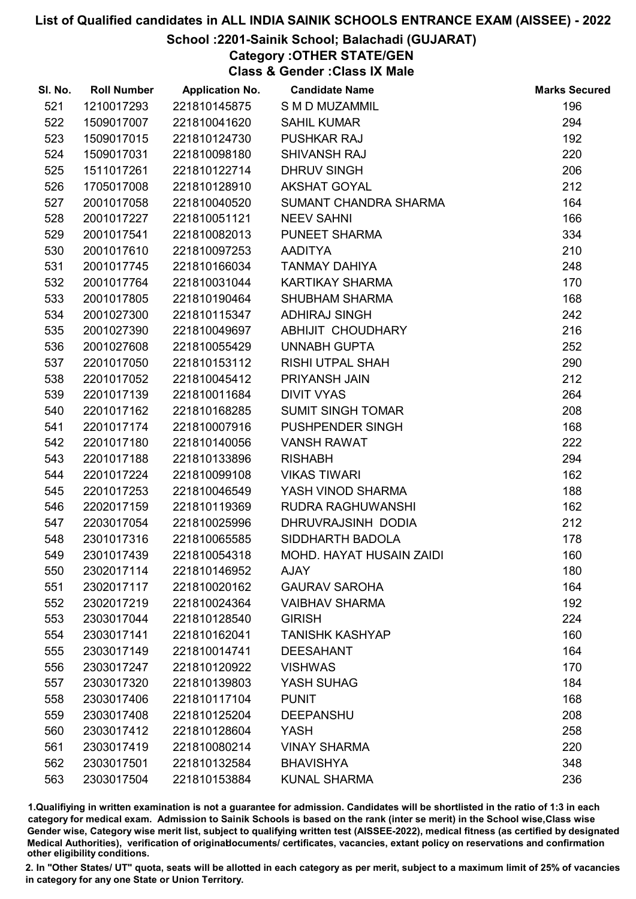## School :2201-Sainik School; Balachadi (GUJARAT)

Category :OTHER STATE/GEN

Class & Gender :Class IX Male

| SI. No. | <b>Roll Number</b> | <b>Application No.</b> | <b>Candidate Name</b>    | <b>Marks Secured</b> |
|---------|--------------------|------------------------|--------------------------|----------------------|
| 521     | 1210017293         | 221810145875           | S M D MUZAMMIL           | 196                  |
| 522     | 1509017007         | 221810041620           | <b>SAHIL KUMAR</b>       | 294                  |
| 523     | 1509017015         | 221810124730           | <b>PUSHKAR RAJ</b>       | 192                  |
| 524     | 1509017031         | 221810098180           | <b>SHIVANSH RAJ</b>      | 220                  |
| 525     | 1511017261         | 221810122714           | <b>DHRUV SINGH</b>       | 206                  |
| 526     | 1705017008         | 221810128910           | <b>AKSHAT GOYAL</b>      | 212                  |
| 527     | 2001017058         | 221810040520           | SUMANT CHANDRA SHARMA    | 164                  |
| 528     | 2001017227         | 221810051121           | <b>NEEV SAHNI</b>        | 166                  |
| 529     | 2001017541         | 221810082013           | PUNEET SHARMA            | 334                  |
| 530     | 2001017610         | 221810097253           | <b>AADITYA</b>           | 210                  |
| 531     | 2001017745         | 221810166034           | <b>TANMAY DAHIYA</b>     | 248                  |
| 532     | 2001017764         | 221810031044           | KARTIKAY SHARMA          | 170                  |
| 533     | 2001017805         | 221810190464           | <b>SHUBHAM SHARMA</b>    | 168                  |
| 534     | 2001027300         | 221810115347           | <b>ADHIRAJ SINGH</b>     | 242                  |
| 535     | 2001027390         | 221810049697           | ABHIJIT CHOUDHARY        | 216                  |
| 536     | 2001027608         | 221810055429           | <b>UNNABH GUPTA</b>      | 252                  |
| 537     | 2201017050         | 221810153112           | RISHI UTPAL SHAH         | 290                  |
| 538     | 2201017052         | 221810045412           | PRIYANSH JAIN            | 212                  |
| 539     | 2201017139         | 221810011684           | <b>DIVIT VYAS</b>        | 264                  |
| 540     | 2201017162         | 221810168285           | <b>SUMIT SINGH TOMAR</b> | 208                  |
| 541     | 2201017174         | 221810007916           | PUSHPENDER SINGH         | 168                  |
| 542     | 2201017180         | 221810140056           | <b>VANSH RAWAT</b>       | 222                  |
| 543     | 2201017188         | 221810133896           | <b>RISHABH</b>           | 294                  |
| 544     | 2201017224         | 221810099108           | <b>VIKAS TIWARI</b>      | 162                  |
| 545     | 2201017253         | 221810046549           | YASH VINOD SHARMA        | 188                  |
| 546     | 2202017159         | 221810119369           | RUDRA RAGHUWANSHI        | 162                  |
| 547     | 2203017054         | 221810025996           | DHRUVRAJSINH DODIA       | 212                  |
| 548     | 2301017316         | 221810065585           | SIDDHARTH BADOLA         | 178                  |
| 549     | 2301017439         | 221810054318           | MOHD. HAYAT HUSAIN ZAIDI | 160                  |
| 550     | 2302017114         | 221810146952           | <b>AJAY</b>              | 180                  |
| 551     | 2302017117         | 221810020162           | <b>GAURAV SAROHA</b>     | 164                  |
| 552     | 2302017219         | 221810024364           | <b>VAIBHAV SHARMA</b>    | 192                  |
| 553     | 2303017044         | 221810128540           | <b>GIRISH</b>            | 224                  |
| 554     | 2303017141         | 221810162041           | <b>TANISHK KASHYAP</b>   | 160                  |
| 555     | 2303017149         | 221810014741           | <b>DEESAHANT</b>         | 164                  |
| 556     | 2303017247         | 221810120922           | <b>VISHWAS</b>           | 170                  |
| 557     | 2303017320         | 221810139803           | YASH SUHAG               | 184                  |
| 558     | 2303017406         | 221810117104           | <b>PUNIT</b>             | 168                  |
| 559     | 2303017408         | 221810125204           | <b>DEEPANSHU</b>         | 208                  |
| 560     | 2303017412         | 221810128604           | <b>YASH</b>              | 258                  |
| 561     | 2303017419         | 221810080214           | <b>VINAY SHARMA</b>      | 220                  |
| 562     | 2303017501         | 221810132584           | <b>BHAVISHYA</b>         | 348                  |
| 563     | 2303017504         | 221810153884           | <b>KUNAL SHARMA</b>      | 236                  |

1.Qualifiying in written examination is not a guarantee for admission. Candidates will be shortlisted in the ratio of 1:3 in each category for medical exam. Admission to Sainik Schools is based on the rank (inter se merit) in the School wise,Class wise Gender wise, Category wise merit list, subject to qualifying written test (AISSEE-2022), medical fitness (as certified by designated Medical Authorities), verification of originablocuments/ certificates, vacancies, extant policy on reservations and confirmation other eligibility conditions.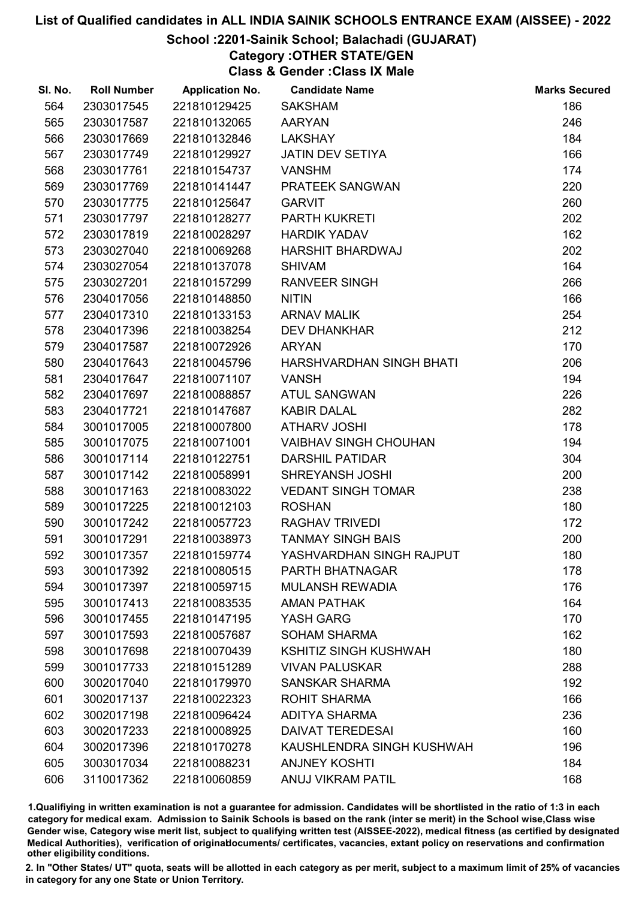## School :2201-Sainik School; Balachadi (GUJARAT)

## Category :OTHER STATE/GEN

Class & Gender :Class IX Male

| SI. No. | <b>Roll Number</b> | <b>Application No.</b> | <b>Candidate Name</b>        | <b>Marks Secured</b> |
|---------|--------------------|------------------------|------------------------------|----------------------|
| 564     | 2303017545         | 221810129425           | <b>SAKSHAM</b>               | 186                  |
| 565     | 2303017587         | 221810132065           | <b>AARYAN</b>                | 246                  |
| 566     | 2303017669         | 221810132846           | <b>LAKSHAY</b>               | 184                  |
| 567     | 2303017749         | 221810129927           | <b>JATIN DEV SETIYA</b>      | 166                  |
| 568     | 2303017761         | 221810154737           | <b>VANSHM</b>                | 174                  |
| 569     | 2303017769         | 221810141447           | PRATEEK SANGWAN              | 220                  |
| 570     | 2303017775         | 221810125647           | <b>GARVIT</b>                | 260                  |
| 571     | 2303017797         | 221810128277           | <b>PARTH KUKRETI</b>         | 202                  |
| 572     | 2303017819         | 221810028297           | <b>HARDIK YADAV</b>          | 162                  |
| 573     | 2303027040         | 221810069268           | HARSHIT BHARDWAJ             | 202                  |
| 574     | 2303027054         | 221810137078           | <b>SHIVAM</b>                | 164                  |
| 575     | 2303027201         | 221810157299           | <b>RANVEER SINGH</b>         | 266                  |
| 576     | 2304017056         | 221810148850           | <b>NITIN</b>                 | 166                  |
| 577     | 2304017310         | 221810133153           | <b>ARNAV MALIK</b>           | 254                  |
| 578     | 2304017396         | 221810038254           | <b>DEV DHANKHAR</b>          | 212                  |
| 579     | 2304017587         | 221810072926           | <b>ARYAN</b>                 | 170                  |
| 580     | 2304017643         | 221810045796           | HARSHVARDHAN SINGH BHATI     | 206                  |
| 581     | 2304017647         | 221810071107           | <b>VANSH</b>                 | 194                  |
| 582     | 2304017697         | 221810088857           | <b>ATUL SANGWAN</b>          | 226                  |
| 583     | 2304017721         | 221810147687           | <b>KABIR DALAL</b>           | 282                  |
| 584     | 3001017005         | 221810007800           | <b>ATHARV JOSHI</b>          | 178                  |
| 585     | 3001017075         | 221810071001           | <b>VAIBHAV SINGH CHOUHAN</b> | 194                  |
| 586     | 3001017114         | 221810122751           | <b>DARSHIL PATIDAR</b>       | 304                  |
| 587     | 3001017142         | 221810058991           | <b>SHREYANSH JOSHI</b>       | 200                  |
| 588     | 3001017163         | 221810083022           | <b>VEDANT SINGH TOMAR</b>    | 238                  |
| 589     | 3001017225         | 221810012103           | <b>ROSHAN</b>                | 180                  |
| 590     | 3001017242         | 221810057723           | <b>RAGHAV TRIVEDI</b>        | 172                  |
| 591     | 3001017291         | 221810038973           | <b>TANMAY SINGH BAIS</b>     | 200                  |
| 592     | 3001017357         | 221810159774           | YASHVARDHAN SINGH RAJPUT     | 180                  |
| 593     | 3001017392         | 221810080515           | PARTH BHATNAGAR              | 178                  |
| 594     | 3001017397         | 221810059715           | <b>MULANSH REWADIA</b>       | 176                  |
| 595     | 3001017413         | 221810083535           | <b>AMAN PATHAK</b>           | 164                  |
| 596     | 3001017455         | 221810147195           | YASH GARG                    | 170                  |
| 597     | 3001017593         | 221810057687           | <b>SOHAM SHARMA</b>          | 162                  |
| 598     | 3001017698         | 221810070439           | <b>KSHITIZ SINGH KUSHWAH</b> | 180                  |
| 599     | 3001017733         | 221810151289           | <b>VIVAN PALUSKAR</b>        | 288                  |
| 600     | 3002017040         | 221810179970           | <b>SANSKAR SHARMA</b>        | 192                  |
| 601     | 3002017137         | 221810022323           | <b>ROHIT SHARMA</b>          | 166                  |
| 602     | 3002017198         | 221810096424           | <b>ADITYA SHARMA</b>         | 236                  |
| 603     | 3002017233         | 221810008925           | <b>DAIVAT TEREDESAI</b>      | 160                  |
| 604     | 3002017396         | 221810170278           | KAUSHLENDRA SINGH KUSHWAH    | 196                  |
| 605     | 3003017034         | 221810088231           | <b>ANJNEY KOSHTI</b>         | 184                  |
| 606     | 3110017362         | 221810060859           | ANUJ VIKRAM PATIL            | 168                  |

1.Qualifiying in written examination is not a guarantee for admission. Candidates will be shortlisted in the ratio of 1:3 in each category for medical exam. Admission to Sainik Schools is based on the rank (inter se merit) in the School wise,Class wise Gender wise, Category wise merit list, subject to qualifying written test (AISSEE-2022), medical fitness (as certified by designated Medical Authorities), verification of originablocuments/ certificates, vacancies, extant policy on reservations and confirmation other eligibility conditions.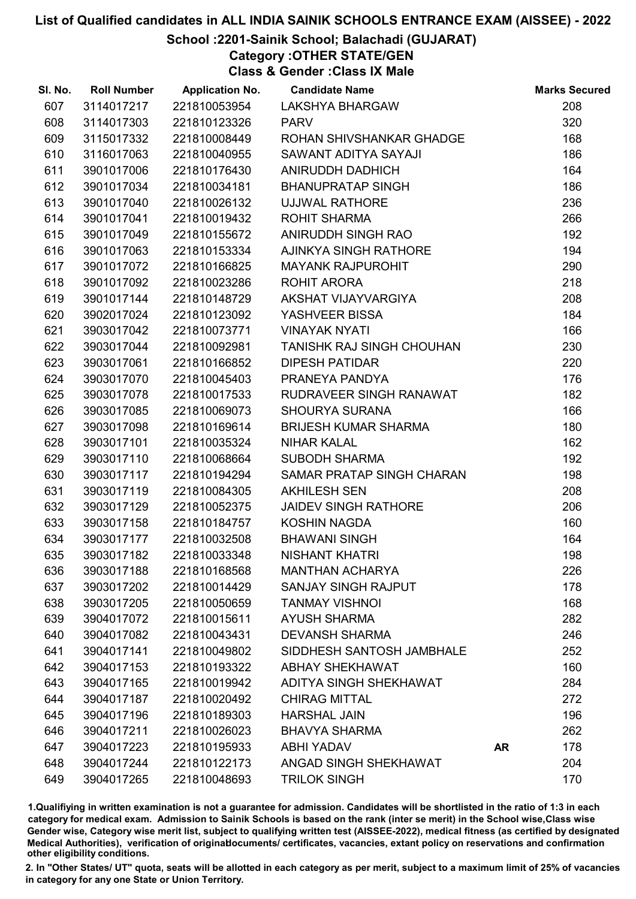## School :2201-Sainik School; Balachadi (GUJARAT)

Category :OTHER STATE/GEN

Class & Gender :Class IX Male

| SI. No. | <b>Roll Number</b> | <b>Application No.</b> | <b>Candidate Name</b>       |           | <b>Marks Secured</b> |
|---------|--------------------|------------------------|-----------------------------|-----------|----------------------|
| 607     | 3114017217         | 221810053954           | <b>LAKSHYA BHARGAW</b>      |           | 208                  |
| 608     | 3114017303         | 221810123326           | <b>PARV</b>                 |           | 320                  |
| 609     | 3115017332         | 221810008449           | ROHAN SHIVSHANKAR GHADGE    |           | 168                  |
| 610     | 3116017063         | 221810040955           | SAWANT ADITYA SAYAJI        |           | 186                  |
| 611     | 3901017006         | 221810176430           | ANIRUDDH DADHICH            |           | 164                  |
| 612     | 3901017034         | 221810034181           | <b>BHANUPRATAP SINGH</b>    |           | 186                  |
| 613     | 3901017040         | 221810026132           | <b>UJJWAL RATHORE</b>       |           | 236                  |
| 614     | 3901017041         | 221810019432           | <b>ROHIT SHARMA</b>         |           | 266                  |
| 615     | 3901017049         | 221810155672           | ANIRUDDH SINGH RAO          |           | 192                  |
| 616     | 3901017063         | 221810153334           | AJINKYA SINGH RATHORE       |           | 194                  |
| 617     | 3901017072         | 221810166825           | <b>MAYANK RAJPUROHIT</b>    |           | 290                  |
| 618     | 3901017092         | 221810023286           | <b>ROHIT ARORA</b>          |           | 218                  |
| 619     | 3901017144         | 221810148729           | AKSHAT VIJAYVARGIYA         |           | 208                  |
| 620     | 3902017024         | 221810123092           | YASHVEER BISSA              |           | 184                  |
| 621     | 3903017042         | 221810073771           | <b>VINAYAK NYATI</b>        |           | 166                  |
| 622     | 3903017044         | 221810092981           | TANISHK RAJ SINGH CHOUHAN   |           | 230                  |
| 623     | 3903017061         | 221810166852           | <b>DIPESH PATIDAR</b>       |           | 220                  |
| 624     | 3903017070         | 221810045403           | PRANEYA PANDYA              |           | 176                  |
| 625     | 3903017078         | 221810017533           | RUDRAVEER SINGH RANAWAT     |           | 182                  |
| 626     | 3903017085         | 221810069073           | <b>SHOURYA SURANA</b>       |           | 166                  |
| 627     | 3903017098         | 221810169614           | <b>BRIJESH KUMAR SHARMA</b> |           | 180                  |
| 628     | 3903017101         | 221810035324           | <b>NIHAR KALAL</b>          |           | 162                  |
| 629     | 3903017110         | 221810068664           | <b>SUBODH SHARMA</b>        |           | 192                  |
| 630     | 3903017117         | 221810194294           | SAMAR PRATAP SINGH CHARAN   |           | 198                  |
| 631     | 3903017119         | 221810084305           | <b>AKHILESH SEN</b>         |           | 208                  |
| 632     | 3903017129         | 221810052375           | <b>JAIDEV SINGH RATHORE</b> |           | 206                  |
| 633     | 3903017158         | 221810184757           | KOSHIN NAGDA                |           | 160                  |
| 634     | 3903017177         | 221810032508           | <b>BHAWANI SINGH</b>        |           | 164                  |
| 635     | 3903017182         | 221810033348           | <b>NISHANT KHATRI</b>       |           | 198                  |
| 636     | 3903017188         | 221810168568           | <b>MANTHAN ACHARYA</b>      |           | 226                  |
| 637     | 3903017202         | 221810014429           | <b>SANJAY SINGH RAJPUT</b>  |           | 178                  |
| 638     | 3903017205         | 221810050659           | <b>TANMAY VISHNOI</b>       |           | 168                  |
| 639     | 3904017072         | 221810015611           | <b>AYUSH SHARMA</b>         |           | 282                  |
| 640     | 3904017082         | 221810043431           | <b>DEVANSH SHARMA</b>       |           | 246                  |
| 641     | 3904017141         | 221810049802           | SIDDHESH SANTOSH JAMBHALE   |           | 252                  |
| 642     | 3904017153         | 221810193322           | <b>ABHAY SHEKHAWAT</b>      |           | 160                  |
| 643     | 3904017165         | 221810019942           | ADITYA SINGH SHEKHAWAT      |           | 284                  |
| 644     | 3904017187         | 221810020492           | <b>CHIRAG MITTAL</b>        |           | 272                  |
| 645     | 3904017196         | 221810189303           | <b>HARSHAL JAIN</b>         |           | 196                  |
| 646     | 3904017211         | 221810026023           | <b>BHAVYA SHARMA</b>        |           | 262                  |
| 647     | 3904017223         | 221810195933           | <b>ABHI YADAV</b>           | <b>AR</b> | 178                  |
| 648     | 3904017244         | 221810122173           | ANGAD SINGH SHEKHAWAT       |           | 204                  |
| 649     | 3904017265         | 221810048693           | <b>TRILOK SINGH</b>         |           | 170                  |

1.Qualifiying in written examination is not a guarantee for admission. Candidates will be shortlisted in the ratio of 1:3 in each category for medical exam. Admission to Sainik Schools is based on the rank (inter se merit) in the School wise,Class wise Gender wise, Category wise merit list, subject to qualifying written test (AISSEE-2022), medical fitness (as certified by designated Medical Authorities), verification of originablocuments/ certificates, vacancies, extant policy on reservations and confirmation other eligibility conditions.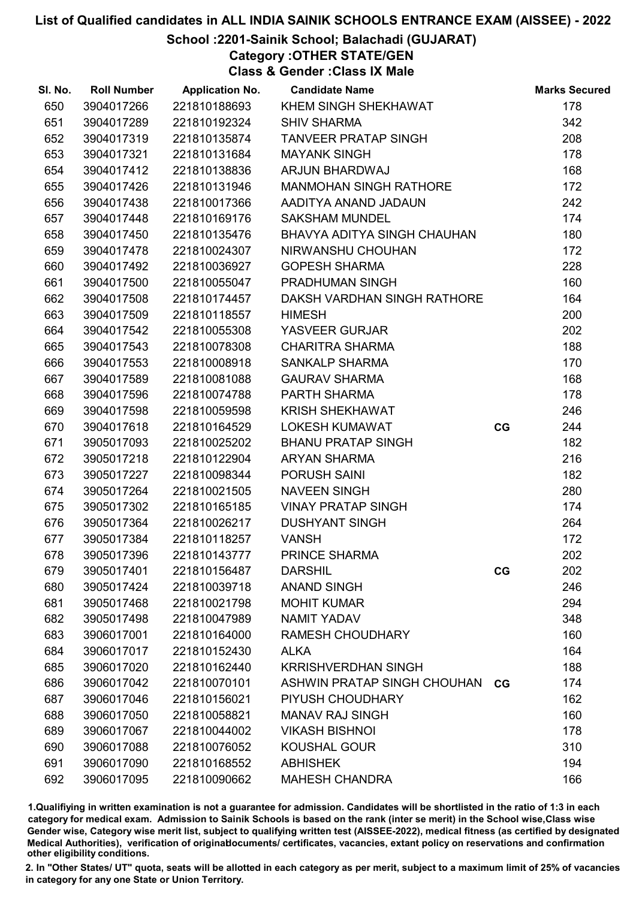## School :2201-Sainik School; Balachadi (GUJARAT)

Category :OTHER STATE/GEN

Class & Gender :Class IX Male

| SI. No. | <b>Roll Number</b> | <b>Application No.</b> | <b>Candidate Name</b>              |    | <b>Marks Secured</b> |
|---------|--------------------|------------------------|------------------------------------|----|----------------------|
| 650     | 3904017266         | 221810188693           | KHEM SINGH SHEKHAWAT               |    | 178                  |
| 651     | 3904017289         | 221810192324           | <b>SHIV SHARMA</b>                 |    | 342                  |
| 652     | 3904017319         | 221810135874           | <b>TANVEER PRATAP SINGH</b>        |    | 208                  |
| 653     | 3904017321         | 221810131684           | <b>MAYANK SINGH</b>                |    | 178                  |
| 654     | 3904017412         | 221810138836           | ARJUN BHARDWAJ                     |    | 168                  |
| 655     | 3904017426         | 221810131946           | <b>MANMOHAN SINGH RATHORE</b>      |    | 172                  |
| 656     | 3904017438         | 221810017366           | AADITYA ANAND JADAUN               |    | 242                  |
| 657     | 3904017448         | 221810169176           | <b>SAKSHAM MUNDEL</b>              |    | 174                  |
| 658     | 3904017450         | 221810135476           | <b>BHAVYA ADITYA SINGH CHAUHAN</b> |    | 180                  |
| 659     | 3904017478         | 221810024307           | NIRWANSHU CHOUHAN                  |    | 172                  |
| 660     | 3904017492         | 221810036927           | <b>GOPESH SHARMA</b>               |    | 228                  |
| 661     | 3904017500         | 221810055047           | <b>PRADHUMAN SINGH</b>             |    | 160                  |
| 662     | 3904017508         | 221810174457           | DAKSH VARDHAN SINGH RATHORE        |    | 164                  |
| 663     | 3904017509         | 221810118557           | <b>HIMESH</b>                      |    | 200                  |
| 664     | 3904017542         | 221810055308           | YASVEER GURJAR                     |    | 202                  |
| 665     | 3904017543         | 221810078308           | <b>CHARITRA SHARMA</b>             |    | 188                  |
| 666     | 3904017553         | 221810008918           | <b>SANKALP SHARMA</b>              |    | 170                  |
| 667     | 3904017589         | 221810081088           | <b>GAURAV SHARMA</b>               |    | 168                  |
| 668     | 3904017596         | 221810074788           | PARTH SHARMA                       |    | 178                  |
| 669     | 3904017598         | 221810059598           | <b>KRISH SHEKHAWAT</b>             |    | 246                  |
| 670     | 3904017618         | 221810164529           | <b>LOKESH KUMAWAT</b>              | CG | 244                  |
| 671     | 3905017093         | 221810025202           | <b>BHANU PRATAP SINGH</b>          |    | 182                  |
| 672     | 3905017218         | 221810122904           | <b>ARYAN SHARMA</b>                |    | 216                  |
| 673     | 3905017227         | 221810098344           | PORUSH SAINI                       |    | 182                  |
| 674     | 3905017264         | 221810021505           | <b>NAVEEN SINGH</b>                |    | 280                  |
| 675     | 3905017302         | 221810165185           | <b>VINAY PRATAP SINGH</b>          |    | 174                  |
| 676     | 3905017364         | 221810026217           | <b>DUSHYANT SINGH</b>              |    | 264                  |
| 677     | 3905017384         | 221810118257           | <b>VANSH</b>                       |    | 172                  |
| 678     | 3905017396         | 221810143777           | PRINCE SHARMA                      |    | 202                  |
| 679     | 3905017401         | 221810156487           | <b>DARSHIL</b>                     | CG | 202                  |
| 680     | 3905017424         | 221810039718           | <b>ANAND SINGH</b>                 |    | 246                  |
| 681     | 3905017468         | 221810021798           | <b>MOHIT KUMAR</b>                 |    | 294                  |
| 682     | 3905017498         | 221810047989           | <b>NAMIT YADAV</b>                 |    | 348                  |
| 683     | 3906017001         | 221810164000           | <b>RAMESH CHOUDHARY</b>            |    | 160                  |
| 684     | 3906017017         | 221810152430           | <b>ALKA</b>                        |    | 164                  |
| 685     | 3906017020         | 221810162440           | <b>KRRISHVERDHAN SINGH</b>         |    | 188                  |
| 686     | 3906017042         | 221810070101           | ASHWIN PRATAP SINGH CHOUHAN CG     |    | 174                  |
| 687     | 3906017046         | 221810156021           | PIYUSH CHOUDHARY                   |    | 162                  |
| 688     | 3906017050         | 221810058821           | <b>MANAV RAJ SINGH</b>             |    | 160                  |
| 689     | 3906017067         | 221810044002           | <b>VIKASH BISHNOI</b>              |    | 178                  |
| 690     | 3906017088         | 221810076052           | <b>KOUSHAL GOUR</b>                |    | 310                  |
| 691     | 3906017090         | 221810168552           | <b>ABHISHEK</b>                    |    | 194                  |
| 692     | 3906017095         | 221810090662           | <b>MAHESH CHANDRA</b>              |    | 166                  |

1.Qualifiying in written examination is not a guarantee for admission. Candidates will be shortlisted in the ratio of 1:3 in each category for medical exam. Admission to Sainik Schools is based on the rank (inter se merit) in the School wise,Class wise Gender wise, Category wise merit list, subject to qualifying written test (AISSEE-2022), medical fitness (as certified by designated Medical Authorities), verification of originablocuments/ certificates, vacancies, extant policy on reservations and confirmation other eligibility conditions.